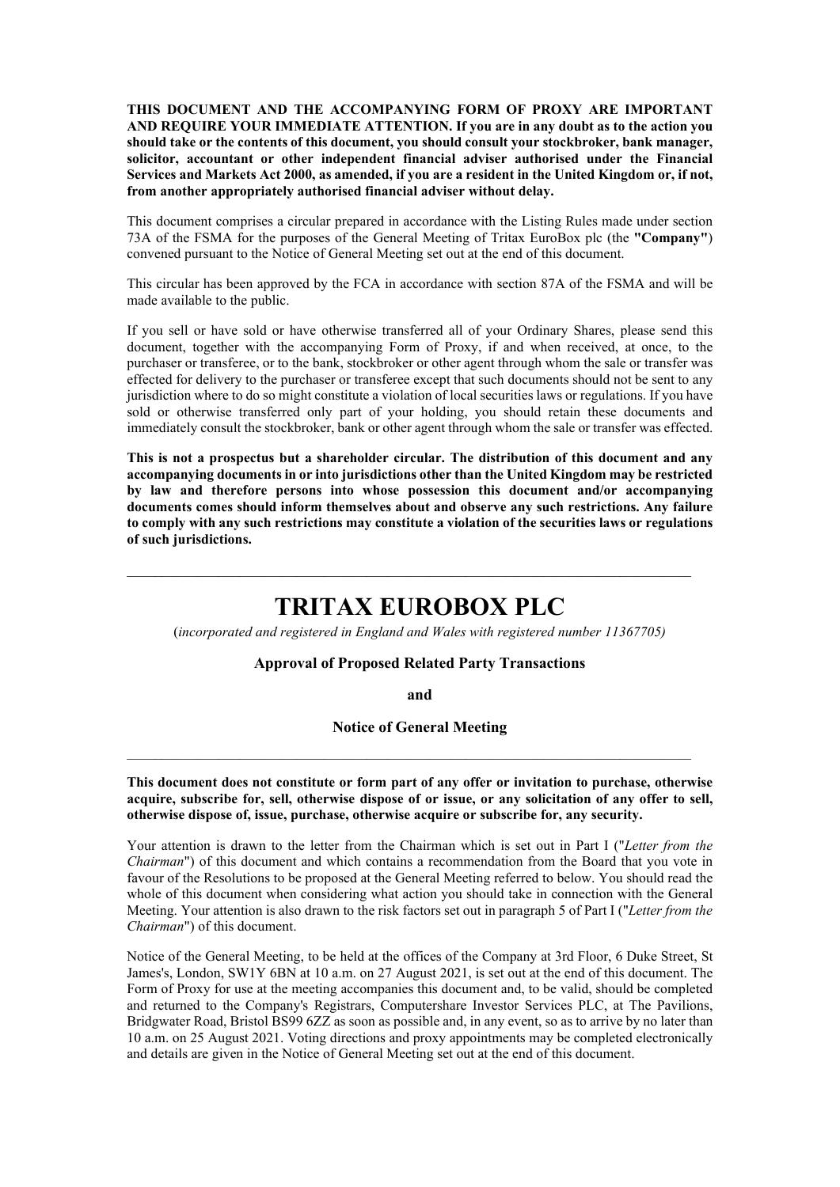**THIS DOCUMENT AND THE ACCOMPANYING FORM OF PROXY ARE IMPORTANT AND REQUIRE YOUR IMMEDIATE ATTENTION. If you are in any doubt as to the action you should take or the contents of this document, you should consult your stockbroker, bank manager, solicitor, accountant or other independent financial adviser authorised under the Financial Services and Markets Act 2000, as amended, if you are a resident in the United Kingdom or, if not, from another appropriately authorised financial adviser without delay.** 

This document comprises a circular prepared in accordance with the Listing Rules made under section 73A of the FSMA for the purposes of the General Meeting of Tritax EuroBox plc (the **"Company"**) convened pursuant to the Notice of General Meeting set out at the end of this document.

This circular has been approved by the FCA in accordance with section 87A of the FSMA and will be made available to the public.

If you sell or have sold or have otherwise transferred all of your Ordinary Shares, please send this document, together with the accompanying Form of Proxy, if and when received, at once, to the purchaser or transferee, or to the bank, stockbroker or other agent through whom the sale or transfer was effected for delivery to the purchaser or transferee except that such documents should not be sent to any jurisdiction where to do so might constitute a violation of local securities laws or regulations. If you have sold or otherwise transferred only part of your holding, you should retain these documents and immediately consult the stockbroker, bank or other agent through whom the sale or transfer was effected.

**This is not a prospectus but a shareholder circular. The distribution of this document and any accompanying documents in or into jurisdictions other than the United Kingdom may be restricted by law and therefore persons into whose possession this document and/or accompanying documents comes should inform themselves about and observe any such restrictions. Any failure to comply with any such restrictions may constitute a violation of the securities laws or regulations of such jurisdictions.** 

# **TRITAX EUROBOX PLC**

 $\mathcal{L}_\mathcal{L} = \{ \mathcal{L}_\mathcal{L} = \{ \mathcal{L}_\mathcal{L} = \{ \mathcal{L}_\mathcal{L} = \{ \mathcal{L}_\mathcal{L} = \{ \mathcal{L}_\mathcal{L} = \{ \mathcal{L}_\mathcal{L} = \{ \mathcal{L}_\mathcal{L} = \{ \mathcal{L}_\mathcal{L} = \{ \mathcal{L}_\mathcal{L} = \{ \mathcal{L}_\mathcal{L} = \{ \mathcal{L}_\mathcal{L} = \{ \mathcal{L}_\mathcal{L} = \{ \mathcal{L}_\mathcal{L} = \{ \mathcal{L}_\mathcal{$ 

(*incorporated and registered in England and Wales with registered number 11367705)* 

## **Approval of Proposed Related Party Transactions**

**and** 

**Notice of General Meeting** 

 $\mathcal{L}_\mathcal{L} = \{ \mathcal{L}_\mathcal{L} = \{ \mathcal{L}_\mathcal{L} = \{ \mathcal{L}_\mathcal{L} = \{ \mathcal{L}_\mathcal{L} = \{ \mathcal{L}_\mathcal{L} = \{ \mathcal{L}_\mathcal{L} = \{ \mathcal{L}_\mathcal{L} = \{ \mathcal{L}_\mathcal{L} = \{ \mathcal{L}_\mathcal{L} = \{ \mathcal{L}_\mathcal{L} = \{ \mathcal{L}_\mathcal{L} = \{ \mathcal{L}_\mathcal{L} = \{ \mathcal{L}_\mathcal{L} = \{ \mathcal{L}_\mathcal{$ 

**This document does not constitute or form part of any offer or invitation to purchase, otherwise acquire, subscribe for, sell, otherwise dispose of or issue, or any solicitation of any offer to sell, otherwise dispose of, issue, purchase, otherwise acquire or subscribe for, any security.** 

Your attention is drawn to the letter from the Chairman which is set out in Part I ("*Letter from the Chairman*") of this document and which contains a recommendation from the Board that you vote in favour of the Resolutions to be proposed at the General Meeting referred to below. You should read the whole of this document when considering what action you should take in connection with the General Meeting. Your attention is also drawn to the risk factors set out in paragraph 5 of Part I ("*Letter from the Chairman*") of this document.

Notice of the General Meeting, to be held at the offices of the Company at 3rd Floor, 6 Duke Street, St James's, London, SW1Y 6BN at 10 a.m. on 27 August 2021, is set out at the end of this document. The Form of Proxy for use at the meeting accompanies this document and, to be valid, should be completed and returned to the Company's Registrars, Computershare Investor Services PLC, at The Pavilions, Bridgwater Road, Bristol BS99 6ZZ as soon as possible and, in any event, so as to arrive by no later than 10 a.m. on 25 August 2021. Voting directions and proxy appointments may be completed electronically and details are given in the Notice of General Meeting set out at the end of this document.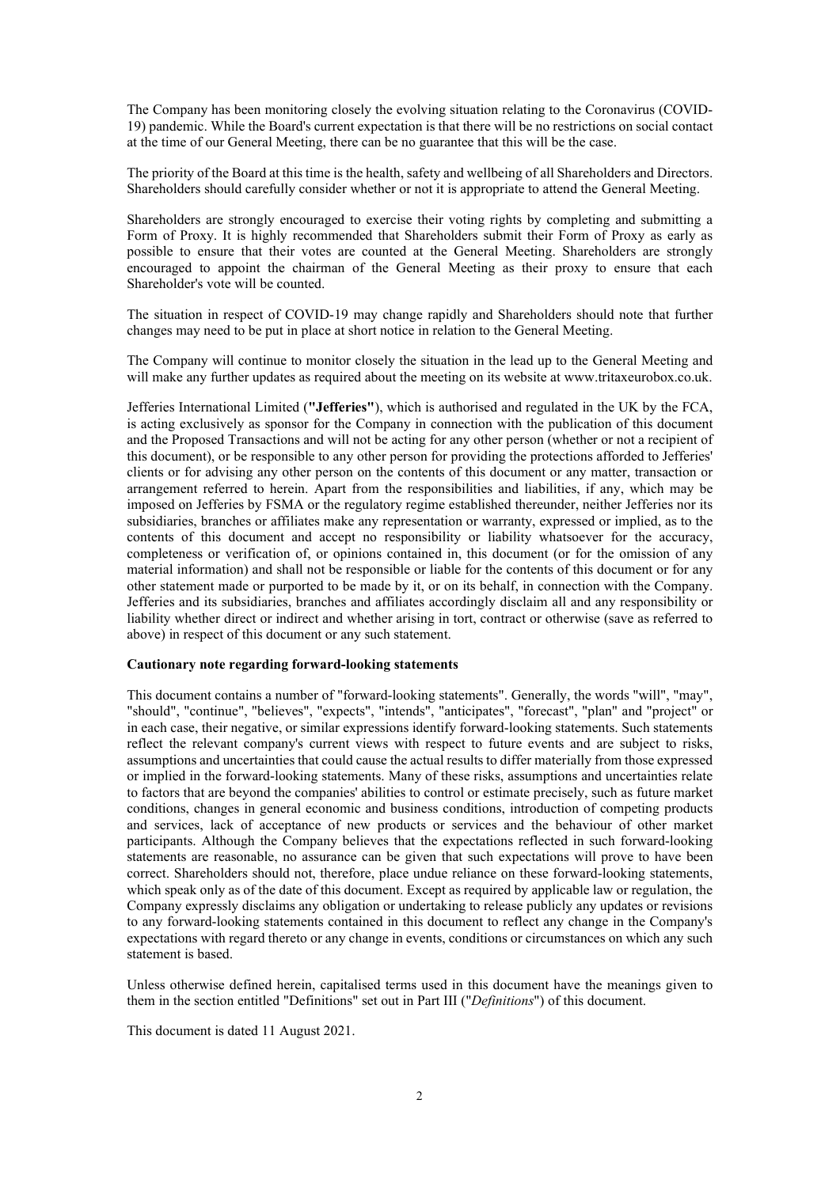The Company has been monitoring closely the evolving situation relating to the Coronavirus (COVID-19) pandemic. While the Board's current expectation is that there will be no restrictions on social contact at the time of our General Meeting, there can be no guarantee that this will be the case.

The priority of the Board at this time is the health, safety and wellbeing of all Shareholders and Directors. Shareholders should carefully consider whether or not it is appropriate to attend the General Meeting.

Shareholders are strongly encouraged to exercise their voting rights by completing and submitting a Form of Proxy. It is highly recommended that Shareholders submit their Form of Proxy as early as possible to ensure that their votes are counted at the General Meeting. Shareholders are strongly encouraged to appoint the chairman of the General Meeting as their proxy to ensure that each Shareholder's vote will be counted.

The situation in respect of COVID-19 may change rapidly and Shareholders should note that further changes may need to be put in place at short notice in relation to the General Meeting.

The Company will continue to monitor closely the situation in the lead up to the General Meeting and will make any further updates as required about the meeting on its website at www.tritaxeurobox.co.uk.

Jefferies International Limited (**"Jefferies"**), which is authorised and regulated in the UK by the FCA, is acting exclusively as sponsor for the Company in connection with the publication of this document and the Proposed Transactions and will not be acting for any other person (whether or not a recipient of this document), or be responsible to any other person for providing the protections afforded to Jefferies' clients or for advising any other person on the contents of this document or any matter, transaction or arrangement referred to herein. Apart from the responsibilities and liabilities, if any, which may be imposed on Jefferies by FSMA or the regulatory regime established thereunder, neither Jefferies nor its subsidiaries, branches or affiliates make any representation or warranty, expressed or implied, as to the contents of this document and accept no responsibility or liability whatsoever for the accuracy, completeness or verification of, or opinions contained in, this document (or for the omission of any material information) and shall not be responsible or liable for the contents of this document or for any other statement made or purported to be made by it, or on its behalf, in connection with the Company. Jefferies and its subsidiaries, branches and affiliates accordingly disclaim all and any responsibility or liability whether direct or indirect and whether arising in tort, contract or otherwise (save as referred to above) in respect of this document or any such statement.

#### **Cautionary note regarding forward-looking statements**

This document contains a number of "forward-looking statements". Generally, the words "will", "may", "should", "continue", "believes", "expects", "intends", "anticipates", "forecast", "plan" and "project" or in each case, their negative, or similar expressions identify forward-looking statements. Such statements reflect the relevant company's current views with respect to future events and are subject to risks, assumptions and uncertainties that could cause the actual results to differ materially from those expressed or implied in the forward-looking statements. Many of these risks, assumptions and uncertainties relate to factors that are beyond the companies' abilities to control or estimate precisely, such as future market conditions, changes in general economic and business conditions, introduction of competing products and services, lack of acceptance of new products or services and the behaviour of other market participants. Although the Company believes that the expectations reflected in such forward-looking statements are reasonable, no assurance can be given that such expectations will prove to have been correct. Shareholders should not, therefore, place undue reliance on these forward-looking statements, which speak only as of the date of this document. Except as required by applicable law or regulation, the Company expressly disclaims any obligation or undertaking to release publicly any updates or revisions to any forward-looking statements contained in this document to reflect any change in the Company's expectations with regard thereto or any change in events, conditions or circumstances on which any such statement is based.

Unless otherwise defined herein, capitalised terms used in this document have the meanings given to them in the section entitled "Definitions" set out in Part III ("*Definitions*") of this document.

This document is dated 11 August 2021.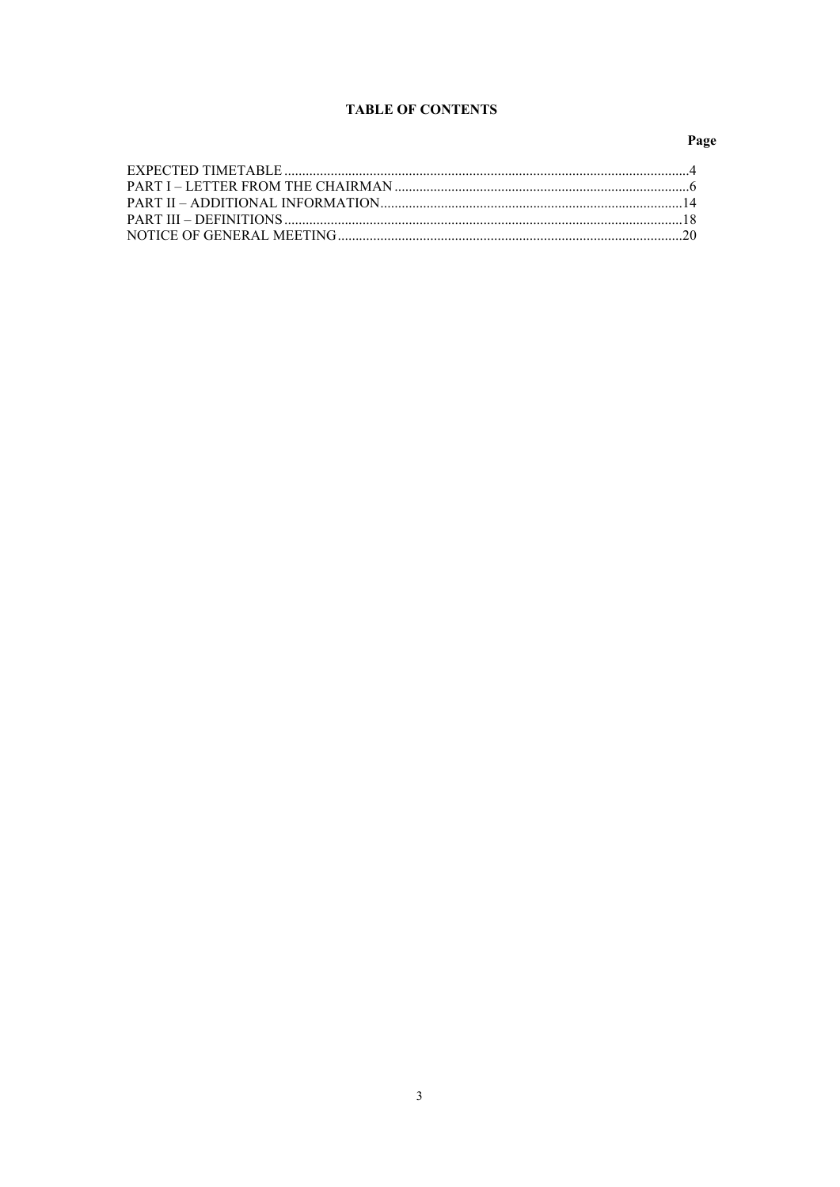## **TABLE OF CONTENTS**

## Page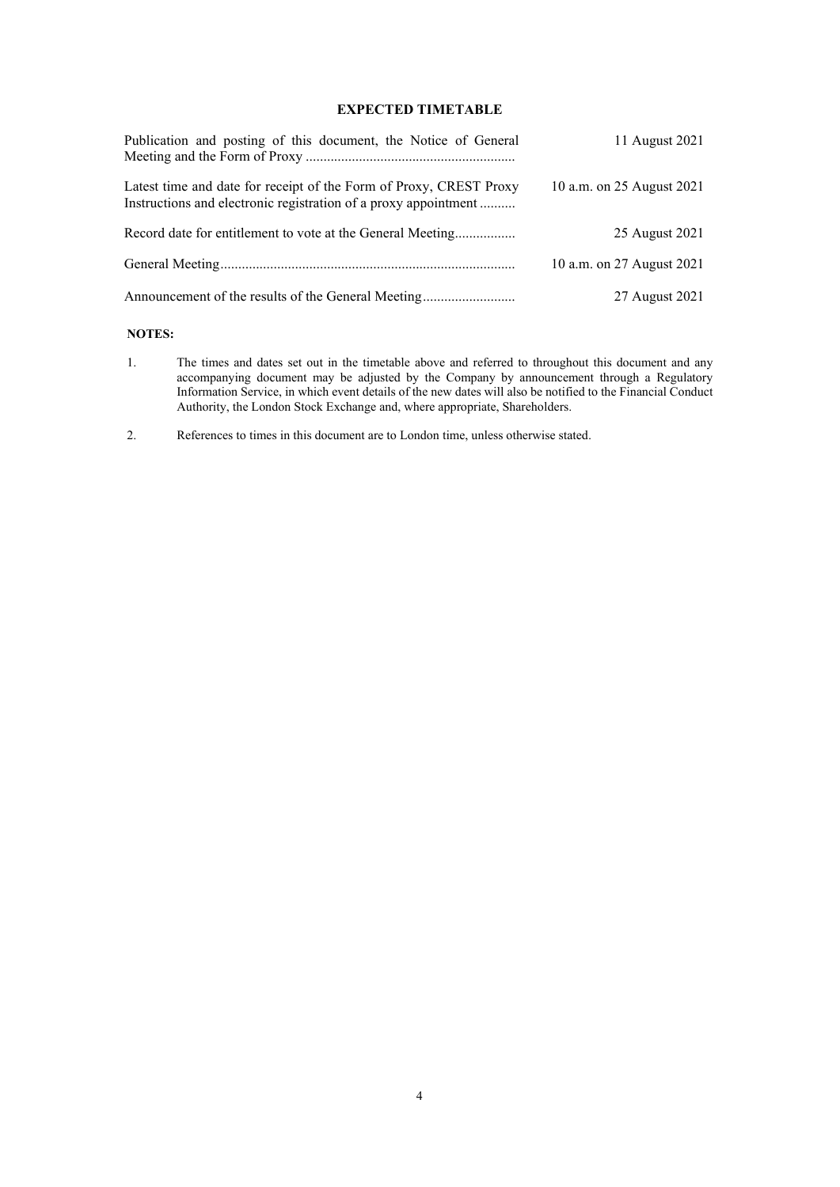## **EXPECTED TIMETABLE**

| Publication and posting of this document, the Notice of General                                                                       | 11 August 2021            |
|---------------------------------------------------------------------------------------------------------------------------------------|---------------------------|
| Latest time and date for receipt of the Form of Proxy, CREST Proxy<br>Instructions and electronic registration of a proxy appointment | 10 a.m. on 25 August 2021 |
|                                                                                                                                       | 25 August 2021            |
|                                                                                                                                       | 10 a.m. on 27 August 2021 |
|                                                                                                                                       | 27 August 2021            |

## **NOTES:**

- 1. The times and dates set out in the timetable above and referred to throughout this document and any accompanying document may be adjusted by the Company by announcement through a Regulatory Information Service, in which event details of the new dates will also be notified to the Financial Conduct Authority, the London Stock Exchange and, where appropriate, Shareholders.
- 2. References to times in this document are to London time, unless otherwise stated.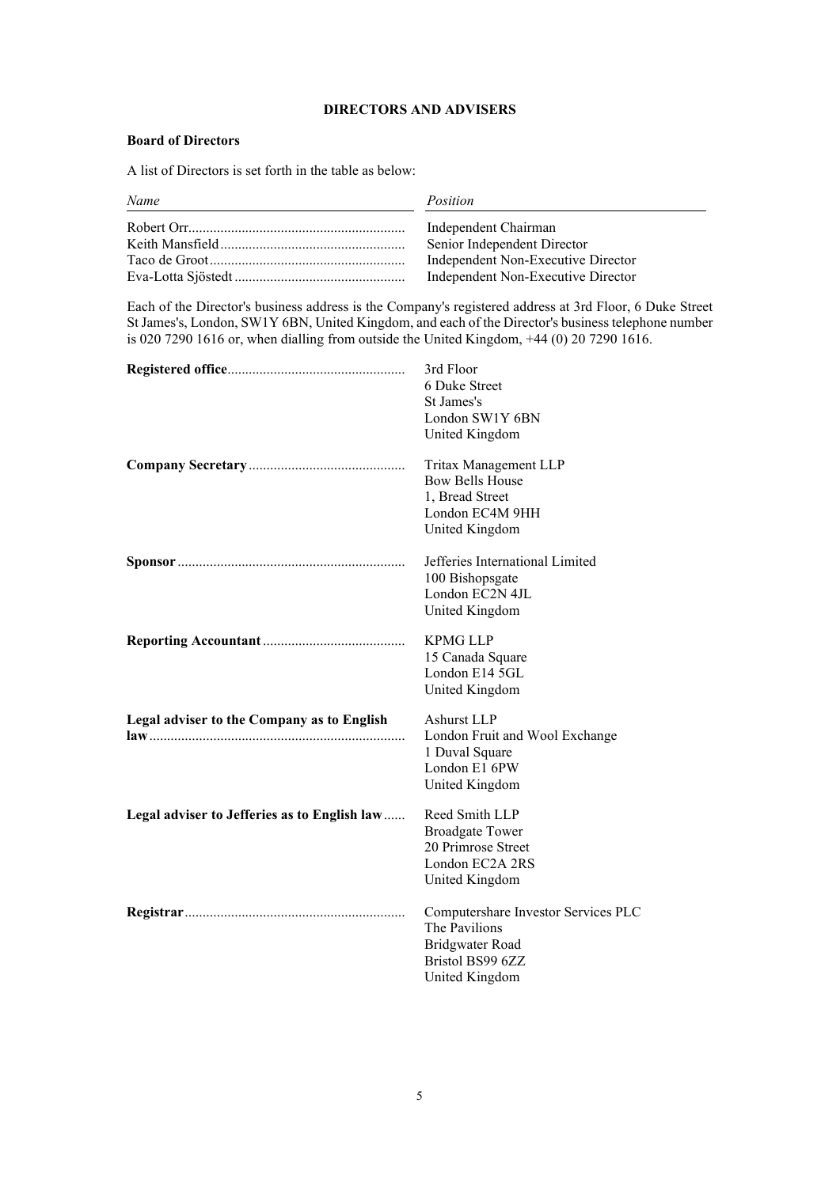## **DIRECTORS AND ADVISERS**

## **Board of Directors**

A list of Directors is set forth in the table as below:

| Name | Position                           |
|------|------------------------------------|
|      | Independent Chairman               |
|      | Senior Independent Director        |
|      | Independent Non-Executive Director |
|      | Independent Non-Executive Director |

Each of the Director's business address is the Company's registered address at 3rd Floor, 6 Duke Street St James's, London, SW1Y 6BN, United Kingdom, and each of the Director's business telephone number is 020 7290 1616 or, when dialling from outside the United Kingdom, +44 (0) 20 7290 1616.

|                                                                                    | 3rd Floor<br>6 Duke Street<br>St James's<br>London SW1Y 6BN<br>United Kingdom                                 |
|------------------------------------------------------------------------------------|---------------------------------------------------------------------------------------------------------------|
|                                                                                    | Tritax Management LLP<br><b>Bow Bells House</b><br>1. Bread Street<br>London EC4M 9HH<br>United Kingdom       |
|                                                                                    | Jefferies International Limited<br>100 Bishopsgate<br>London EC2N 4JL<br>United Kingdom                       |
|                                                                                    | <b>KPMG LLP</b><br>15 Canada Square<br>London E14 5GL<br>United Kingdom                                       |
| Legal adviser to the Company as to English<br><u>law …………………………………………………………………</u> | Ashurst LLP<br>London Fruit and Wool Exchange<br>1 Duval Square<br>London E1 6PW<br>United Kingdom            |
| Legal adviser to Jefferies as to English law                                       | Reed Smith LLP<br><b>Broadgate Tower</b><br>20 Primrose Street<br>London EC2A 2RS<br>United Kingdom           |
|                                                                                    | Computershare Investor Services PLC<br>The Pavilions<br>Bridgwater Road<br>Bristol BS99 6ZZ<br>United Kingdom |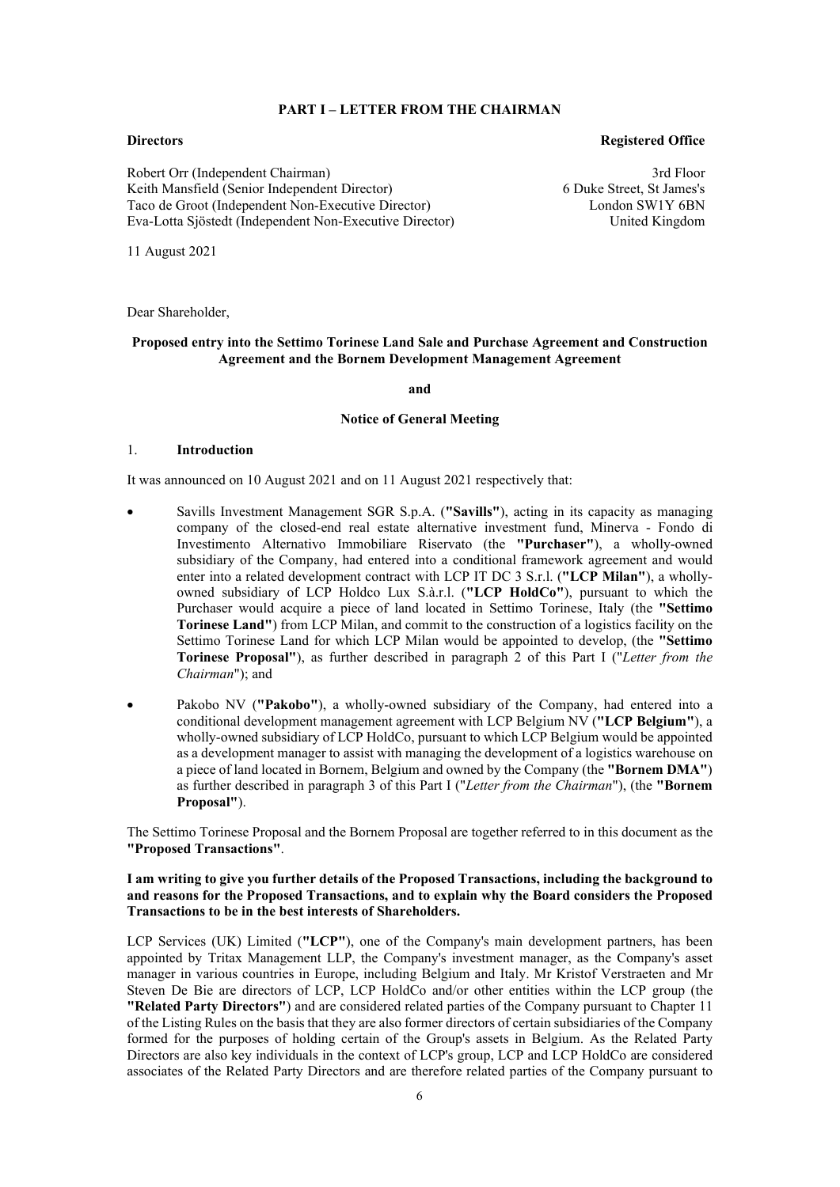#### **PART I – LETTER FROM THE CHAIRMAN**

## **Directors**

## **Registered Office**

Robert Orr (Independent Chairman) Keith Mansfield (Senior Independent Director) Taco de Groot (Independent Non-Executive Director) Eva-Lotta Sjöstedt (Independent Non-Executive Director)

3rd Floor 6 Duke Street, St James's London SW1Y 6BN United Kingdom

11 August 2021

Dear Shareholder,

#### **Proposed entry into the Settimo Torinese Land Sale and Purchase Agreement and Construction Agreement and the Bornem Development Management Agreement**

**and** 

#### **Notice of General Meeting**

## 1. **Introduction**

It was announced on 10 August 2021 and on 11 August 2021 respectively that:

- Savills Investment Management SGR S.p.A. (**"Savills"**), acting in its capacity as managing company of the closed-end real estate alternative investment fund, Minerva - Fondo di Investimento Alternativo Immobiliare Riservato (the **"Purchaser"**), a wholly-owned subsidiary of the Company, had entered into a conditional framework agreement and would enter into a related development contract with LCP IT DC 3 S.r.l. (**"LCP Milan"**), a whollyowned subsidiary of LCP Holdco Lux S.à.r.l. (**"LCP HoldCo"**), pursuant to which the Purchaser would acquire a piece of land located in Settimo Torinese, Italy (the **"Settimo Torinese Land"**) from LCP Milan, and commit to the construction of a logistics facility on the Settimo Torinese Land for which LCP Milan would be appointed to develop, (the **"Settimo Torinese Proposal"**), as further described in paragraph 2 of this Part I ("*Letter from the Chairman*"); and
- Pakobo NV (**"Pakobo"**), a wholly-owned subsidiary of the Company, had entered into a conditional development management agreement with LCP Belgium NV (**"LCP Belgium"**), a wholly-owned subsidiary of LCP HoldCo, pursuant to which LCP Belgium would be appointed as a development manager to assist with managing the development of a logistics warehouse on a piece of land located in Bornem, Belgium and owned by the Company (the **"Bornem DMA"**) as further described in paragraph 3 of this Part I ("*Letter from the Chairman*"), (the **"Bornem Proposal"**).

The Settimo Torinese Proposal and the Bornem Proposal are together referred to in this document as the **"Proposed Transactions"**.

## **I am writing to give you further details of the Proposed Transactions, including the background to and reasons for the Proposed Transactions, and to explain why the Board considers the Proposed Transactions to be in the best interests of Shareholders.**

LCP Services (UK) Limited (**"LCP"**), one of the Company's main development partners, has been appointed by Tritax Management LLP, the Company's investment manager, as the Company's asset manager in various countries in Europe, including Belgium and Italy. Mr Kristof Verstraeten and Mr Steven De Bie are directors of LCP, LCP HoldCo and/or other entities within the LCP group (the **"Related Party Directors"**) and are considered related parties of the Company pursuant to Chapter 11 of the Listing Rules on the basis that they are also former directors of certain subsidiaries of the Company formed for the purposes of holding certain of the Group's assets in Belgium. As the Related Party Directors are also key individuals in the context of LCP's group, LCP and LCP HoldCo are considered associates of the Related Party Directors and are therefore related parties of the Company pursuant to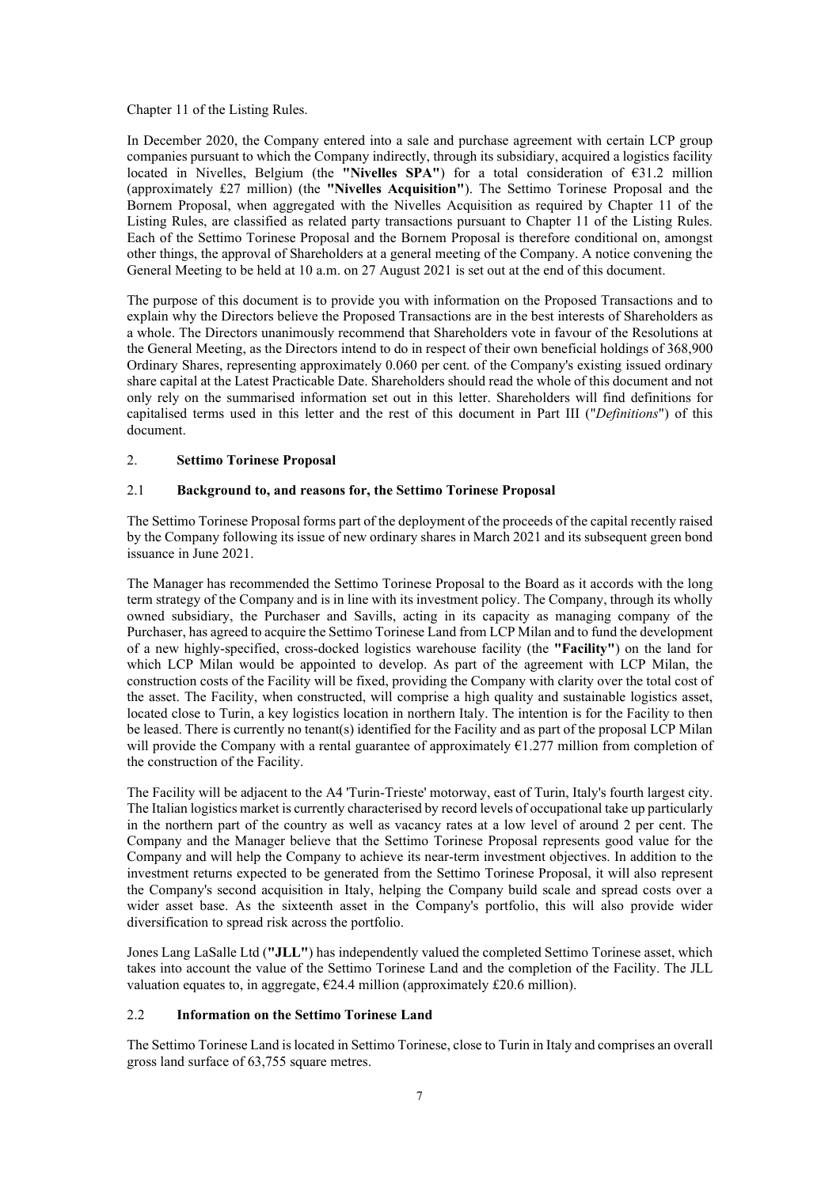Chapter 11 of the Listing Rules.

In December 2020, the Company entered into a sale and purchase agreement with certain LCP group companies pursuant to which the Company indirectly, through its subsidiary, acquired a logistics facility located in Nivelles, Belgium (the **"Nivelles SPA"**) for a total consideration of €31.2 million (approximately £27 million) (the **"Nivelles Acquisition"**). The Settimo Torinese Proposal and the Bornem Proposal, when aggregated with the Nivelles Acquisition as required by Chapter 11 of the Listing Rules, are classified as related party transactions pursuant to Chapter 11 of the Listing Rules. Each of the Settimo Torinese Proposal and the Bornem Proposal is therefore conditional on, amongst other things, the approval of Shareholders at a general meeting of the Company. A notice convening the General Meeting to be held at 10 a.m. on 27 August 2021 is set out at the end of this document.

The purpose of this document is to provide you with information on the Proposed Transactions and to explain why the Directors believe the Proposed Transactions are in the best interests of Shareholders as a whole. The Directors unanimously recommend that Shareholders vote in favour of the Resolutions at the General Meeting, as the Directors intend to do in respect of their own beneficial holdings of 368,900 Ordinary Shares, representing approximately 0.060 per cent. of the Company's existing issued ordinary share capital at the Latest Practicable Date. Shareholders should read the whole of this document and not only rely on the summarised information set out in this letter. Shareholders will find definitions for capitalised terms used in this letter and the rest of this document in Part III ("*Definitions*") of this document.

## 2. **Settimo Torinese Proposal**

## 2.1 **Background to, and reasons for, the Settimo Torinese Proposal**

The Settimo Torinese Proposal forms part of the deployment of the proceeds of the capital recently raised by the Company following its issue of new ordinary shares in March 2021 and its subsequent green bond issuance in June 2021.

The Manager has recommended the Settimo Torinese Proposal to the Board as it accords with the long term strategy of the Company and is in line with its investment policy. The Company, through its wholly owned subsidiary, the Purchaser and Savills, acting in its capacity as managing company of the Purchaser, has agreed to acquire the Settimo Torinese Land from LCP Milan and to fund the development of a new highly-specified, cross-docked logistics warehouse facility (the **"Facility"**) on the land for which LCP Milan would be appointed to develop. As part of the agreement with LCP Milan, the construction costs of the Facility will be fixed, providing the Company with clarity over the total cost of the asset. The Facility, when constructed, will comprise a high quality and sustainable logistics asset, located close to Turin, a key logistics location in northern Italy. The intention is for the Facility to then be leased. There is currently no tenant(s) identified for the Facility and as part of the proposal LCP Milan will provide the Company with a rental guarantee of approximately  $61.277$  million from completion of the construction of the Facility.

The Facility will be adjacent to the A4 'Turin-Trieste' motorway, east of Turin, Italy's fourth largest city. The Italian logistics market is currently characterised by record levels of occupational take up particularly in the northern part of the country as well as vacancy rates at a low level of around 2 per cent. The Company and the Manager believe that the Settimo Torinese Proposal represents good value for the Company and will help the Company to achieve its near-term investment objectives. In addition to the investment returns expected to be generated from the Settimo Torinese Proposal, it will also represent the Company's second acquisition in Italy, helping the Company build scale and spread costs over a wider asset base. As the sixteenth asset in the Company's portfolio, this will also provide wider diversification to spread risk across the portfolio.

Jones Lang LaSalle Ltd (**"JLL"**) has independently valued the completed Settimo Torinese asset, which takes into account the value of the Settimo Torinese Land and the completion of the Facility. The JLL valuation equates to, in aggregate,  $\epsilon$ 24.4 million (approximately £20.6 million).

## 2.2 **Information on the Settimo Torinese Land**

The Settimo Torinese Land is located in Settimo Torinese, close to Turin in Italy and comprises an overall gross land surface of 63,755 square metres.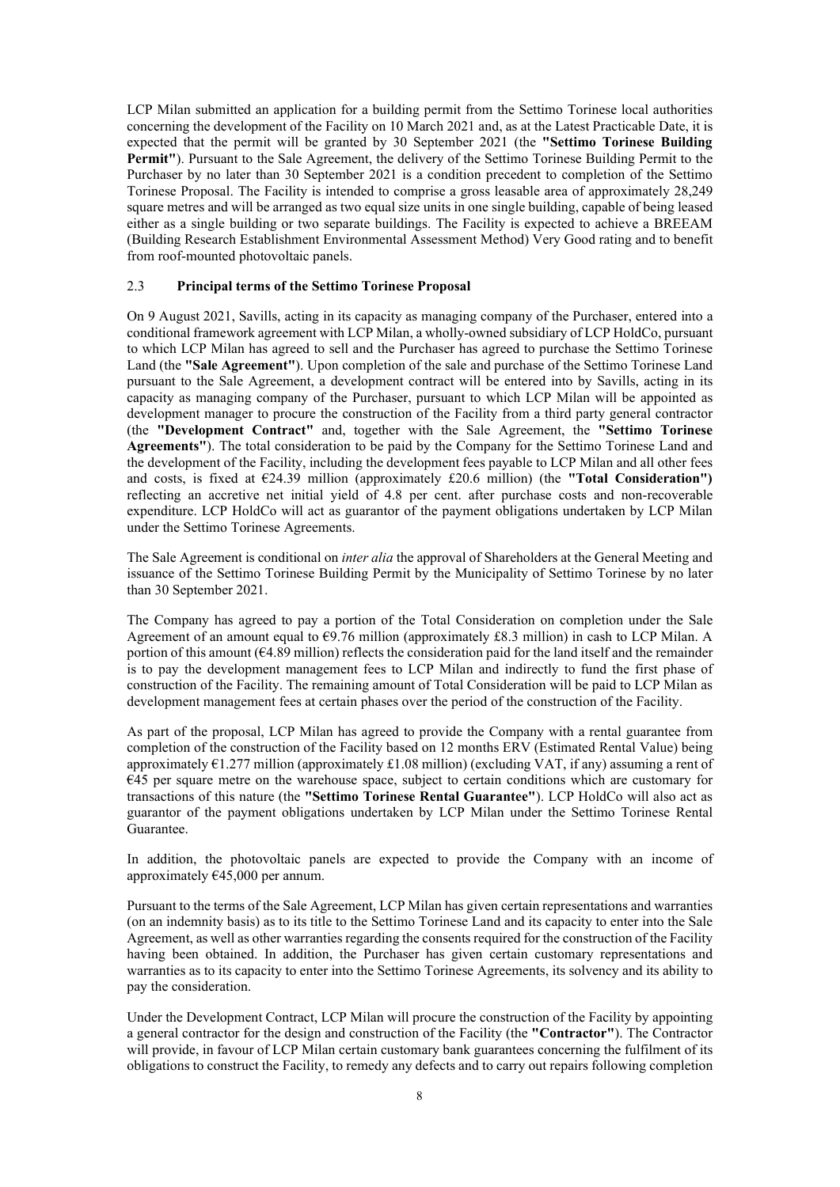LCP Milan submitted an application for a building permit from the Settimo Torinese local authorities concerning the development of the Facility on 10 March 2021 and, as at the Latest Practicable Date, it is expected that the permit will be granted by 30 September 2021 (the **"Settimo Torinese Building**  Permit"). Pursuant to the Sale Agreement, the delivery of the Settimo Torinese Building Permit to the Purchaser by no later than 30 September 2021 is a condition precedent to completion of the Settimo Torinese Proposal. The Facility is intended to comprise a gross leasable area of approximately 28,249 square metres and will be arranged as two equal size units in one single building, capable of being leased either as a single building or two separate buildings. The Facility is expected to achieve a BREEAM (Building Research Establishment Environmental Assessment Method) Very Good rating and to benefit from roof-mounted photovoltaic panels.

## 2.3 **Principal terms of the Settimo Torinese Proposal**

On 9 August 2021, Savills, acting in its capacity as managing company of the Purchaser, entered into a conditional framework agreement with LCP Milan, a wholly-owned subsidiary of LCP HoldCo, pursuant to which LCP Milan has agreed to sell and the Purchaser has agreed to purchase the Settimo Torinese Land (the **"Sale Agreement"**). Upon completion of the sale and purchase of the Settimo Torinese Land pursuant to the Sale Agreement, a development contract will be entered into by Savills, acting in its capacity as managing company of the Purchaser, pursuant to which LCP Milan will be appointed as development manager to procure the construction of the Facility from a third party general contractor (the **"Development Contract"** and, together with the Sale Agreement, the **"Settimo Torinese Agreements"**). The total consideration to be paid by the Company for the Settimo Torinese Land and the development of the Facility, including the development fees payable to LCP Milan and all other fees and costs, is fixed at  $\epsilon$ 24.39 million (approximately £20.6 million) (the **"Total Consideration")** reflecting an accretive net initial yield of 4.8 per cent. after purchase costs and non-recoverable expenditure. LCP HoldCo will act as guarantor of the payment obligations undertaken by LCP Milan under the Settimo Torinese Agreements.

The Sale Agreement is conditional on *inter alia* the approval of Shareholders at the General Meeting and issuance of the Settimo Torinese Building Permit by the Municipality of Settimo Torinese by no later than 30 September 2021.

The Company has agreed to pay a portion of the Total Consideration on completion under the Sale Agreement of an amount equal to €9.76 million (approximately £8.3 million) in cash to LCP Milan. A portion of this amount  $(64.89 \text{ million})$  reflects the consideration paid for the land itself and the remainder is to pay the development management fees to LCP Milan and indirectly to fund the first phase of construction of the Facility. The remaining amount of Total Consideration will be paid to LCP Milan as development management fees at certain phases over the period of the construction of the Facility.

As part of the proposal, LCP Milan has agreed to provide the Company with a rental guarantee from completion of the construction of the Facility based on 12 months ERV (Estimated Rental Value) being approximately €1.277 million (approximately £1.08 million) (excluding VAT, if any) assuming a rent of €45 per square metre on the warehouse space, subject to certain conditions which are customary for transactions of this nature (the **"Settimo Torinese Rental Guarantee"**). LCP HoldCo will also act as guarantor of the payment obligations undertaken by LCP Milan under the Settimo Torinese Rental Guarantee.

In addition, the photovoltaic panels are expected to provide the Company with an income of approximately €45,000 per annum.

Pursuant to the terms of the Sale Agreement, LCP Milan has given certain representations and warranties (on an indemnity basis) as to its title to the Settimo Torinese Land and its capacity to enter into the Sale Agreement, as well as other warranties regarding the consents required for the construction of the Facility having been obtained. In addition, the Purchaser has given certain customary representations and warranties as to its capacity to enter into the Settimo Torinese Agreements, its solvency and its ability to pay the consideration.

Under the Development Contract, LCP Milan will procure the construction of the Facility by appointing a general contractor for the design and construction of the Facility (the **"Contractor"**). The Contractor will provide, in favour of LCP Milan certain customary bank guarantees concerning the fulfilment of its obligations to construct the Facility, to remedy any defects and to carry out repairs following completion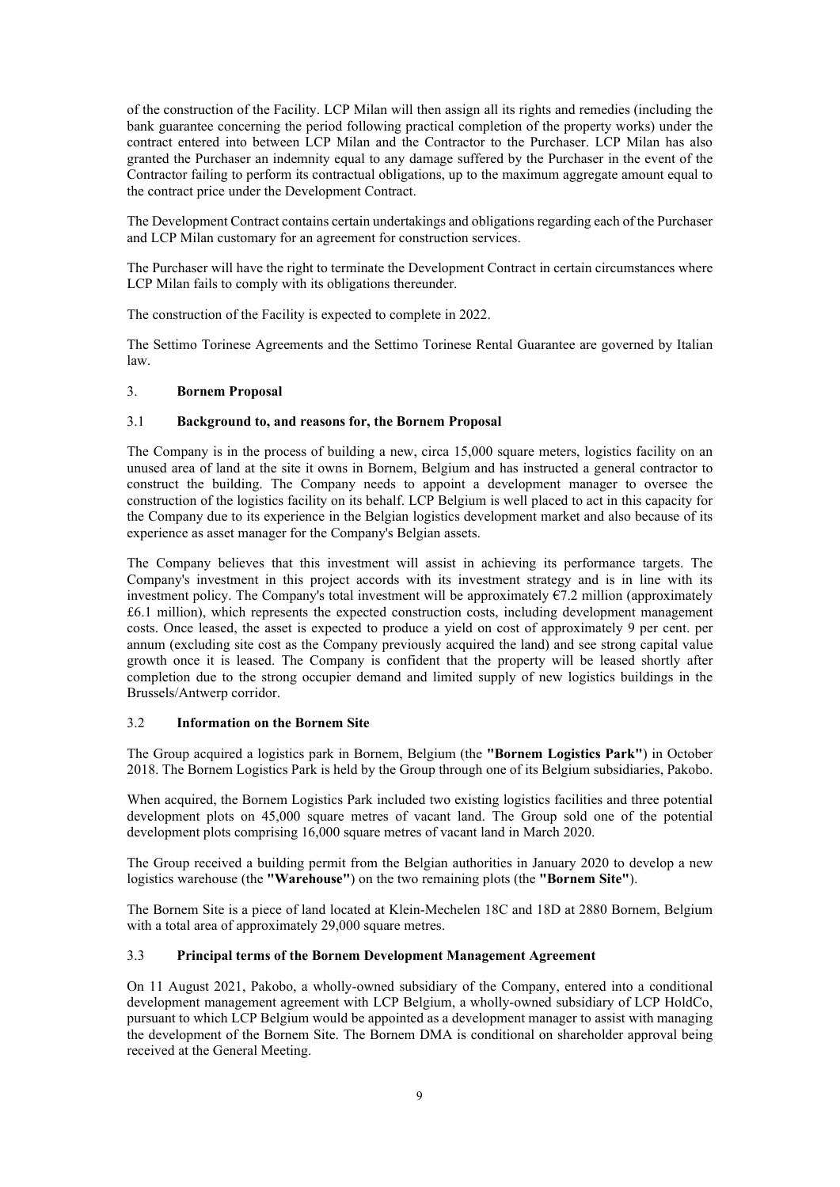of the construction of the Facility. LCP Milan will then assign all its rights and remedies (including the bank guarantee concerning the period following practical completion of the property works) under the contract entered into between LCP Milan and the Contractor to the Purchaser. LCP Milan has also granted the Purchaser an indemnity equal to any damage suffered by the Purchaser in the event of the Contractor failing to perform its contractual obligations, up to the maximum aggregate amount equal to the contract price under the Development Contract.

The Development Contract contains certain undertakings and obligations regarding each of the Purchaser and LCP Milan customary for an agreement for construction services.

The Purchaser will have the right to terminate the Development Contract in certain circumstances where LCP Milan fails to comply with its obligations thereunder.

The construction of the Facility is expected to complete in 2022.

The Settimo Torinese Agreements and the Settimo Torinese Rental Guarantee are governed by Italian law.

## 3. **Bornem Proposal**

## 3.1 **Background to, and reasons for, the Bornem Proposal**

The Company is in the process of building a new, circa 15,000 square meters, logistics facility on an unused area of land at the site it owns in Bornem, Belgium and has instructed a general contractor to construct the building. The Company needs to appoint a development manager to oversee the construction of the logistics facility on its behalf. LCP Belgium is well placed to act in this capacity for the Company due to its experience in the Belgian logistics development market and also because of its experience as asset manager for the Company's Belgian assets.

The Company believes that this investment will assist in achieving its performance targets. The Company's investment in this project accords with its investment strategy and is in line with its investment policy. The Company's total investment will be approximately  $\epsilon$ 7.2 million (approximately £6.1 million), which represents the expected construction costs, including development management costs. Once leased, the asset is expected to produce a yield on cost of approximately 9 per cent. per annum (excluding site cost as the Company previously acquired the land) and see strong capital value growth once it is leased. The Company is confident that the property will be leased shortly after completion due to the strong occupier demand and limited supply of new logistics buildings in the Brussels/Antwerp corridor.

#### 3.2 **Information on the Bornem Site**

The Group acquired a logistics park in Bornem, Belgium (the **"Bornem Logistics Park"**) in October 2018. The Bornem Logistics Park is held by the Group through one of its Belgium subsidiaries, Pakobo.

When acquired, the Bornem Logistics Park included two existing logistics facilities and three potential development plots on 45,000 square metres of vacant land. The Group sold one of the potential development plots comprising 16,000 square metres of vacant land in March 2020.

The Group received a building permit from the Belgian authorities in January 2020 to develop a new logistics warehouse (the **"Warehouse"**) on the two remaining plots (the **"Bornem Site"**).

The Bornem Site is a piece of land located at Klein-Mechelen 18C and 18D at 2880 Bornem, Belgium with a total area of approximately 29,000 square metres.

## 3.3 **Principal terms of the Bornem Development Management Agreement**

On 11 August 2021, Pakobo, a wholly-owned subsidiary of the Company, entered into a conditional development management agreement with LCP Belgium, a wholly-owned subsidiary of LCP HoldCo, pursuant to which LCP Belgium would be appointed as a development manager to assist with managing the development of the Bornem Site. The Bornem DMA is conditional on shareholder approval being received at the General Meeting.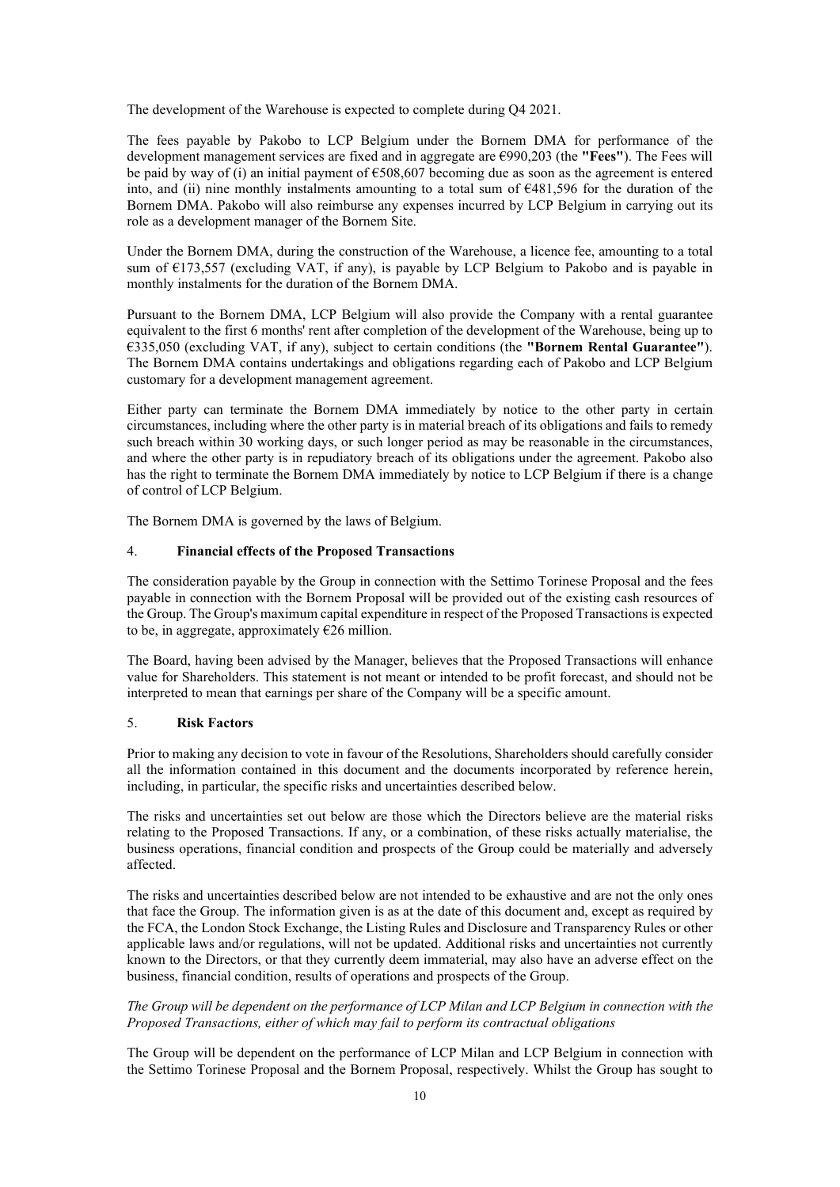The development of the Warehouse is expected to complete during Q4 2021.

The fees payable by Pakobo to LCP Belgium under the Bornem DMA for performance of the development management services are fixed and in aggregate are €990,203 (the **"Fees"**). The Fees will be paid by way of (i) an initial payment of €508,607 becoming due as soon as the agreement is entered into, and (ii) nine monthly instalments amounting to a total sum of €481,596 for the duration of the Bornem DMA. Pakobo will also reimburse any expenses incurred by LCP Belgium in carrying out its role as a development manager of the Bornem Site.

Under the Bornem DMA, during the construction of the Warehouse, a licence fee, amounting to a total sum of €173,557 (excluding VAT, if any), is payable by LCP Belgium to Pakobo and is payable in monthly instalments for the duration of the Bornem DMA.

Pursuant to the Bornem DMA, LCP Belgium will also provide the Company with a rental guarantee equivalent to the first 6 months' rent after completion of the development of the Warehouse, being up to €335,050 (excluding VAT, if any), subject to certain conditions (the **"Bornem Rental Guarantee"**). The Bornem DMA contains undertakings and obligations regarding each of Pakobo and LCP Belgium customary for a development management agreement.

Either party can terminate the Bornem DMA immediately by notice to the other party in certain circumstances, including where the other party is in material breach of its obligations and fails to remedy such breach within 30 working days, or such longer period as may be reasonable in the circumstances, and where the other party is in repudiatory breach of its obligations under the agreement. Pakobo also has the right to terminate the Bornem DMA immediately by notice to LCP Belgium if there is a change of control of LCP Belgium.

The Bornem DMA is governed by the laws of Belgium.

## 4. **Financial effects of the Proposed Transactions**

The consideration payable by the Group in connection with the Settimo Torinese Proposal and the fees payable in connection with the Bornem Proposal will be provided out of the existing cash resources of the Group. The Group's maximum capital expenditure in respect of the Proposed Transactions is expected to be, in aggregate, approximately  $E26$  million.

The Board, having been advised by the Manager, believes that the Proposed Transactions will enhance value for Shareholders. This statement is not meant or intended to be profit forecast, and should not be interpreted to mean that earnings per share of the Company will be a specific amount.

## 5. **Risk Factors**

Prior to making any decision to vote in favour of the Resolutions, Shareholders should carefully consider all the information contained in this document and the documents incorporated by reference herein, including, in particular, the specific risks and uncertainties described below.

The risks and uncertainties set out below are those which the Directors believe are the material risks relating to the Proposed Transactions. If any, or a combination, of these risks actually materialise, the business operations, financial condition and prospects of the Group could be materially and adversely affected.

The risks and uncertainties described below are not intended to be exhaustive and are not the only ones that face the Group. The information given is as at the date of this document and, except as required by the FCA, the London Stock Exchange, the Listing Rules and Disclosure and Transparency Rules or other applicable laws and/or regulations, will not be updated. Additional risks and uncertainties not currently known to the Directors, or that they currently deem immaterial, may also have an adverse effect on the business, financial condition, results of operations and prospects of the Group.

## *The Group will be dependent on the performance of LCP Milan and LCP Belgium in connection with the Proposed Transactions, either of which may fail to perform its contractual obligations*

The Group will be dependent on the performance of LCP Milan and LCP Belgium in connection with the Settimo Torinese Proposal and the Bornem Proposal, respectively. Whilst the Group has sought to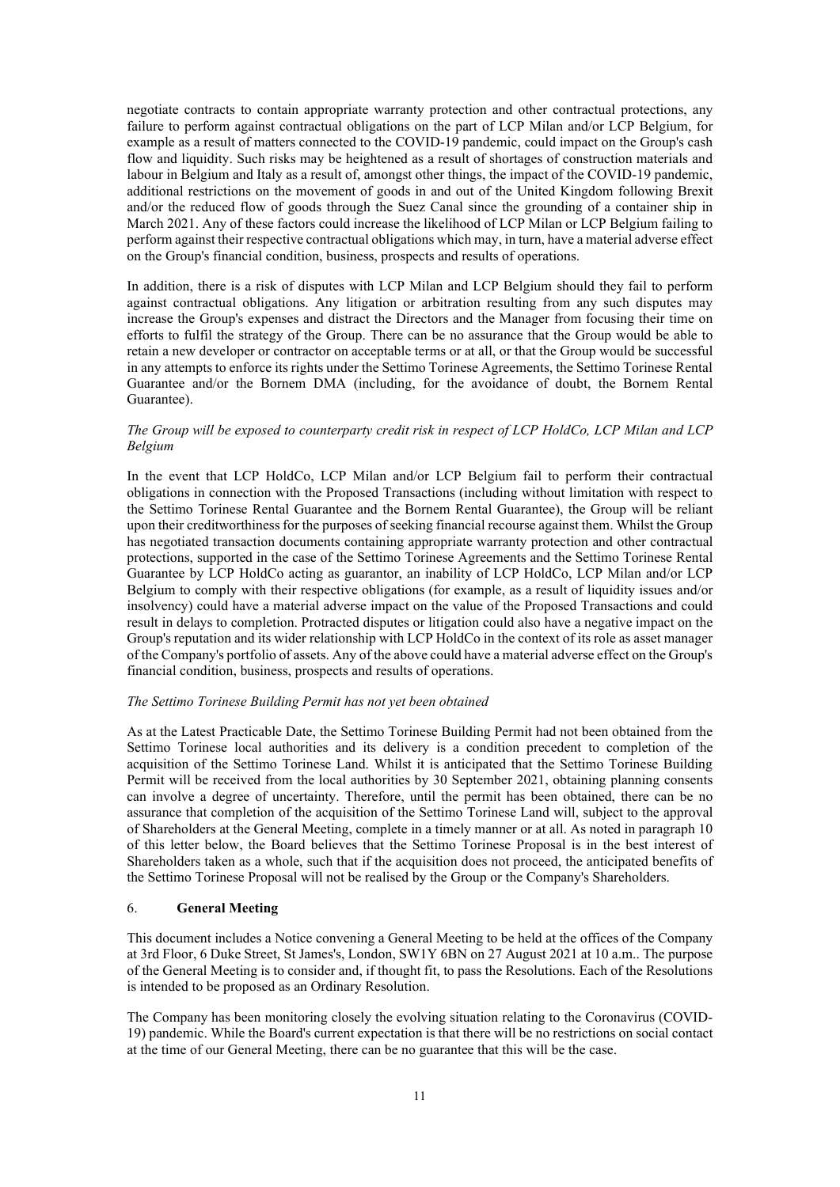negotiate contracts to contain appropriate warranty protection and other contractual protections, any failure to perform against contractual obligations on the part of LCP Milan and/or LCP Belgium, for example as a result of matters connected to the COVID-19 pandemic, could impact on the Group's cash flow and liquidity. Such risks may be heightened as a result of shortages of construction materials and labour in Belgium and Italy as a result of, amongst other things, the impact of the COVID-19 pandemic, additional restrictions on the movement of goods in and out of the United Kingdom following Brexit and/or the reduced flow of goods through the Suez Canal since the grounding of a container ship in March 2021. Any of these factors could increase the likelihood of LCP Milan or LCP Belgium failing to perform against their respective contractual obligations which may, in turn, have a material adverse effect on the Group's financial condition, business, prospects and results of operations.

In addition, there is a risk of disputes with LCP Milan and LCP Belgium should they fail to perform against contractual obligations. Any litigation or arbitration resulting from any such disputes may increase the Group's expenses and distract the Directors and the Manager from focusing their time on efforts to fulfil the strategy of the Group. There can be no assurance that the Group would be able to retain a new developer or contractor on acceptable terms or at all, or that the Group would be successful in any attempts to enforce its rights under the Settimo Torinese Agreements, the Settimo Torinese Rental Guarantee and/or the Bornem DMA (including, for the avoidance of doubt, the Bornem Rental Guarantee).

## *The Group will be exposed to counterparty credit risk in respect of LCP HoldCo, LCP Milan and LCP Belgium*

In the event that LCP HoldCo, LCP Milan and/or LCP Belgium fail to perform their contractual obligations in connection with the Proposed Transactions (including without limitation with respect to the Settimo Torinese Rental Guarantee and the Bornem Rental Guarantee), the Group will be reliant upon their creditworthiness for the purposes of seeking financial recourse against them. Whilst the Group has negotiated transaction documents containing appropriate warranty protection and other contractual protections, supported in the case of the Settimo Torinese Agreements and the Settimo Torinese Rental Guarantee by LCP HoldCo acting as guarantor, an inability of LCP HoldCo, LCP Milan and/or LCP Belgium to comply with their respective obligations (for example, as a result of liquidity issues and/or insolvency) could have a material adverse impact on the value of the Proposed Transactions and could result in delays to completion. Protracted disputes or litigation could also have a negative impact on the Group's reputation and its wider relationship with LCP HoldCo in the context of its role as asset manager of the Company's portfolio of assets. Any of the above could have a material adverse effect on the Group's financial condition, business, prospects and results of operations.

## *The Settimo Torinese Building Permit has not yet been obtained*

As at the Latest Practicable Date, the Settimo Torinese Building Permit had not been obtained from the Settimo Torinese local authorities and its delivery is a condition precedent to completion of the acquisition of the Settimo Torinese Land. Whilst it is anticipated that the Settimo Torinese Building Permit will be received from the local authorities by 30 September 2021, obtaining planning consents can involve a degree of uncertainty. Therefore, until the permit has been obtained, there can be no assurance that completion of the acquisition of the Settimo Torinese Land will, subject to the approval of Shareholders at the General Meeting, complete in a timely manner or at all. As noted in paragraph 10 of this letter below, the Board believes that the Settimo Torinese Proposal is in the best interest of Shareholders taken as a whole, such that if the acquisition does not proceed, the anticipated benefits of the Settimo Torinese Proposal will not be realised by the Group or the Company's Shareholders.

#### 6. **General Meeting**

This document includes a Notice convening a General Meeting to be held at the offices of the Company at 3rd Floor, 6 Duke Street, St James's, London, SW1Y 6BN on 27 August 2021 at 10 a.m.. The purpose of the General Meeting is to consider and, if thought fit, to pass the Resolutions. Each of the Resolutions is intended to be proposed as an Ordinary Resolution.

The Company has been monitoring closely the evolving situation relating to the Coronavirus (COVID-19) pandemic. While the Board's current expectation is that there will be no restrictions on social contact at the time of our General Meeting, there can be no guarantee that this will be the case.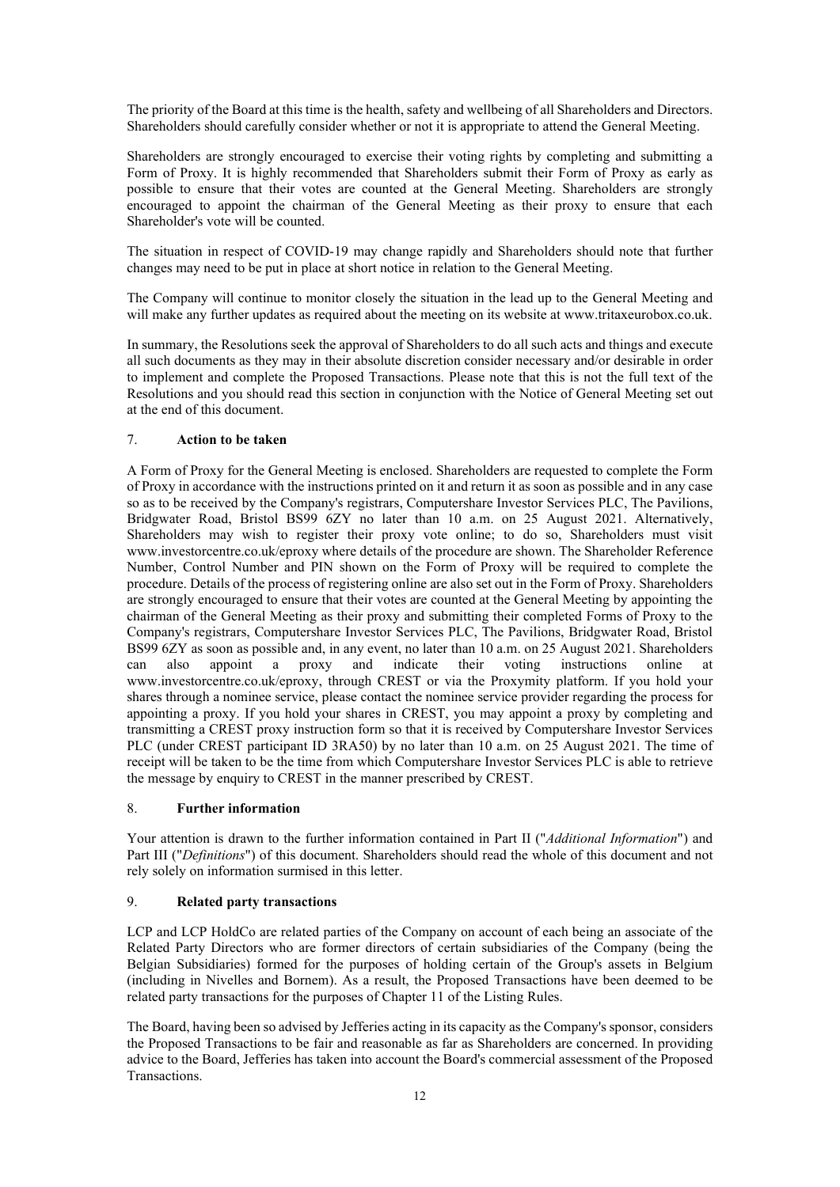The priority of the Board at this time is the health, safety and wellbeing of all Shareholders and Directors. Shareholders should carefully consider whether or not it is appropriate to attend the General Meeting.

Shareholders are strongly encouraged to exercise their voting rights by completing and submitting a Form of Proxy. It is highly recommended that Shareholders submit their Form of Proxy as early as possible to ensure that their votes are counted at the General Meeting. Shareholders are strongly encouraged to appoint the chairman of the General Meeting as their proxy to ensure that each Shareholder's vote will be counted.

The situation in respect of COVID-19 may change rapidly and Shareholders should note that further changes may need to be put in place at short notice in relation to the General Meeting.

The Company will continue to monitor closely the situation in the lead up to the General Meeting and will make any further updates as required about the meeting on its website at www.tritaxeurobox.co.uk.

In summary, the Resolutions seek the approval of Shareholders to do all such acts and things and execute all such documents as they may in their absolute discretion consider necessary and/or desirable in order to implement and complete the Proposed Transactions. Please note that this is not the full text of the Resolutions and you should read this section in conjunction with the Notice of General Meeting set out at the end of this document.

## 7. **Action to be taken**

A Form of Proxy for the General Meeting is enclosed. Shareholders are requested to complete the Form of Proxy in accordance with the instructions printed on it and return it as soon as possible and in any case so as to be received by the Company's registrars, Computershare Investor Services PLC, The Pavilions, Bridgwater Road, Bristol BS99 6ZY no later than 10 a.m. on 25 August 2021. Alternatively, Shareholders may wish to register their proxy vote online; to do so, Shareholders must visit www.investorcentre.co.uk/eproxy where details of the procedure are shown. The Shareholder Reference Number, Control Number and PIN shown on the Form of Proxy will be required to complete the procedure. Details of the process of registering online are also set out in the Form of Proxy. Shareholders are strongly encouraged to ensure that their votes are counted at the General Meeting by appointing the chairman of the General Meeting as their proxy and submitting their completed Forms of Proxy to the Company's registrars, Computershare Investor Services PLC, The Pavilions, Bridgwater Road, Bristol BS99 6ZY as soon as possible and, in any event, no later than 10 a.m. on 25 August 2021. Shareholders can also appoint a proxy and indicate their voting instructions online at www.investorcentre.co.uk/eproxy, through CREST or via the Proxymity platform. If you hold your shares through a nominee service, please contact the nominee service provider regarding the process for appointing a proxy. If you hold your shares in CREST, you may appoint a proxy by completing and transmitting a CREST proxy instruction form so that it is received by Computershare Investor Services PLC (under CREST participant ID 3RA50) by no later than 10 a.m. on 25 August 2021. The time of receipt will be taken to be the time from which Computershare Investor Services PLC is able to retrieve the message by enquiry to CREST in the manner prescribed by CREST.

#### 8. **Further information**

Your attention is drawn to the further information contained in Part II ("*Additional Information*") and Part III ("*Definitions*") of this document. Shareholders should read the whole of this document and not rely solely on information surmised in this letter.

## 9. **Related party transactions**

LCP and LCP HoldCo are related parties of the Company on account of each being an associate of the Related Party Directors who are former directors of certain subsidiaries of the Company (being the Belgian Subsidiaries) formed for the purposes of holding certain of the Group's assets in Belgium (including in Nivelles and Bornem). As a result, the Proposed Transactions have been deemed to be related party transactions for the purposes of Chapter 11 of the Listing Rules.

The Board, having been so advised by Jefferies acting in its capacity as the Company's sponsor, considers the Proposed Transactions to be fair and reasonable as far as Shareholders are concerned. In providing advice to the Board, Jefferies has taken into account the Board's commercial assessment of the Proposed Transactions.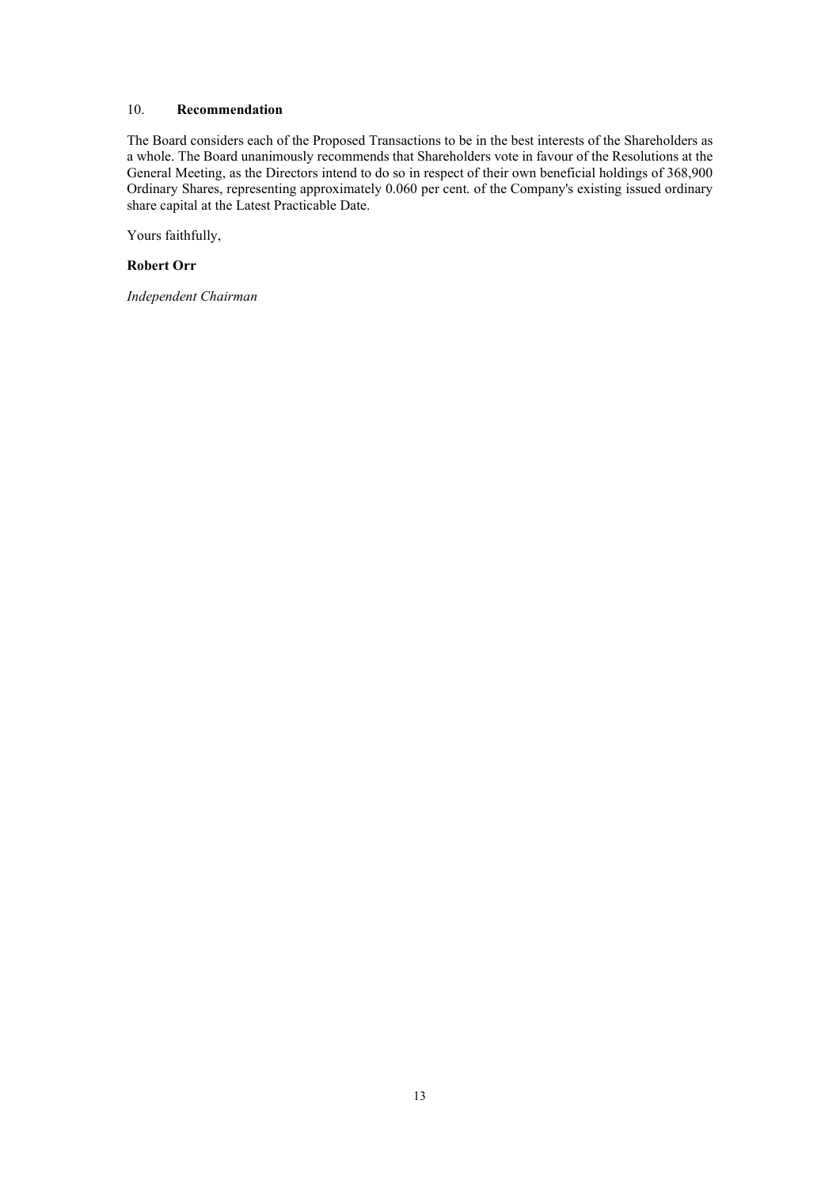## 10. **Recommendation**

The Board considers each of the Proposed Transactions to be in the best interests of the Shareholders as a whole. The Board unanimously recommends that Shareholders vote in favour of the Resolutions at the General Meeting, as the Directors intend to do so in respect of their own beneficial holdings of 368,900 Ordinary Shares, representing approximately 0.060 per cent. of the Company's existing issued ordinary share capital at the Latest Practicable Date.

Yours faithfully,

**Robert Orr** 

*Independent Chairman*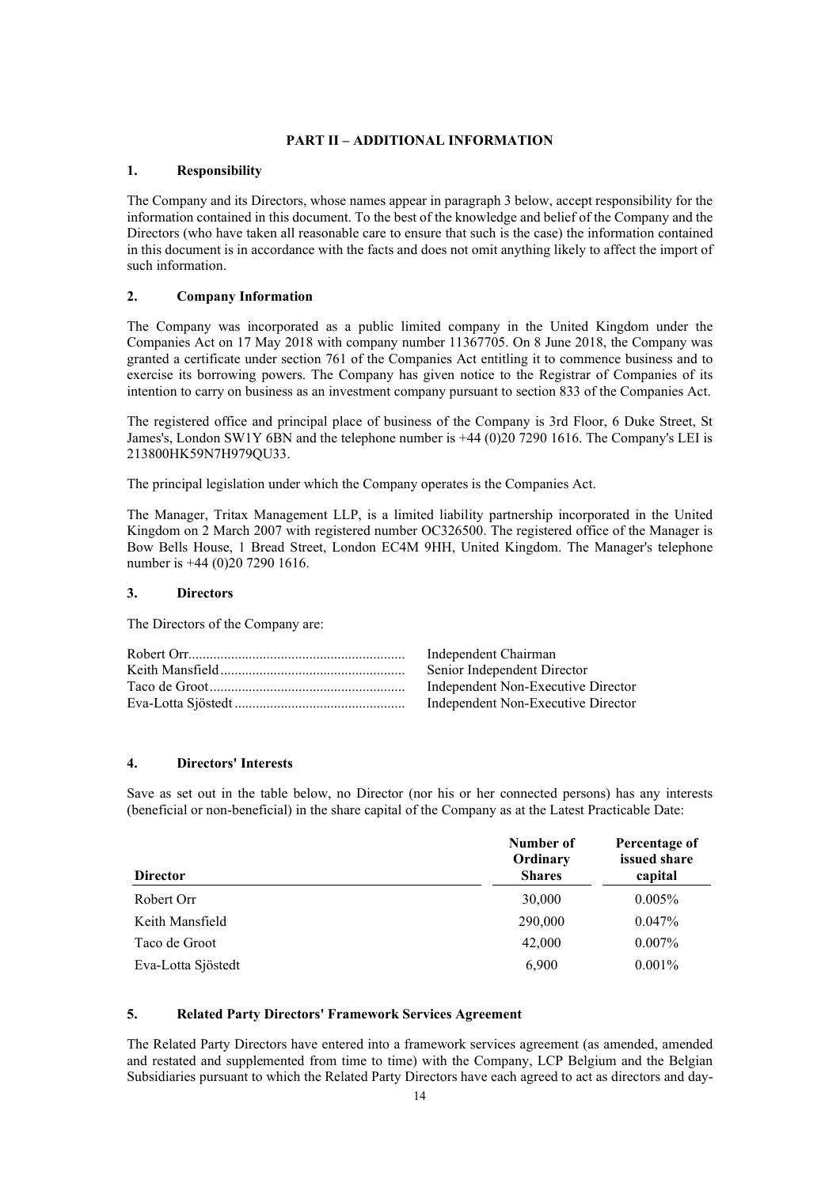## **PART II – ADDITIONAL INFORMATION**

## **1. Responsibility**

The Company and its Directors, whose names appear in paragraph 3 below, accept responsibility for the information contained in this document. To the best of the knowledge and belief of the Company and the Directors (who have taken all reasonable care to ensure that such is the case) the information contained in this document is in accordance with the facts and does not omit anything likely to affect the import of such information.

## **2. Company Information**

The Company was incorporated as a public limited company in the United Kingdom under the Companies Act on 17 May 2018 with company number 11367705. On 8 June 2018, the Company was granted a certificate under section 761 of the Companies Act entitling it to commence business and to exercise its borrowing powers. The Company has given notice to the Registrar of Companies of its intention to carry on business as an investment company pursuant to section 833 of the Companies Act.

The registered office and principal place of business of the Company is 3rd Floor, 6 Duke Street, St James's, London SW1Y 6BN and the telephone number is +44 (0)20 7290 1616. The Company's LEI is 213800HK59N7H979QU33.

The principal legislation under which the Company operates is the Companies Act.

The Manager, Tritax Management LLP, is a limited liability partnership incorporated in the United Kingdom on 2 March 2007 with registered number OC326500. The registered office of the Manager is Bow Bells House, 1 Bread Street, London EC4M 9HH, United Kingdom. The Manager's telephone number is +44 (0)20 7290 1616.

#### **3. Directors**

The Directors of the Company are:

| Independent Chairman               |
|------------------------------------|
| Senior Independent Director        |
| Independent Non-Executive Director |
| Independent Non-Executive Director |
|                                    |

## **4. Directors' Interests**

Save as set out in the table below, no Director (nor his or her connected persons) has any interests (beneficial or non-beneficial) in the share capital of the Company as at the Latest Practicable Date:

| <b>Director</b>    | Number of<br>Ordinary<br><b>Shares</b> | Percentage of<br>issued share<br>capital |
|--------------------|----------------------------------------|------------------------------------------|
| Robert Orr         | 30,000                                 | $0.005\%$                                |
| Keith Mansfield    | 290,000                                | $0.047\%$                                |
| Taco de Groot      | 42,000                                 | $0.007\%$                                |
| Eva-Lotta Sjöstedt | 6,900                                  | $0.001\%$                                |

#### **5. Related Party Directors' Framework Services Agreement**

The Related Party Directors have entered into a framework services agreement (as amended, amended and restated and supplemented from time to time) with the Company, LCP Belgium and the Belgian Subsidiaries pursuant to which the Related Party Directors have each agreed to act as directors and day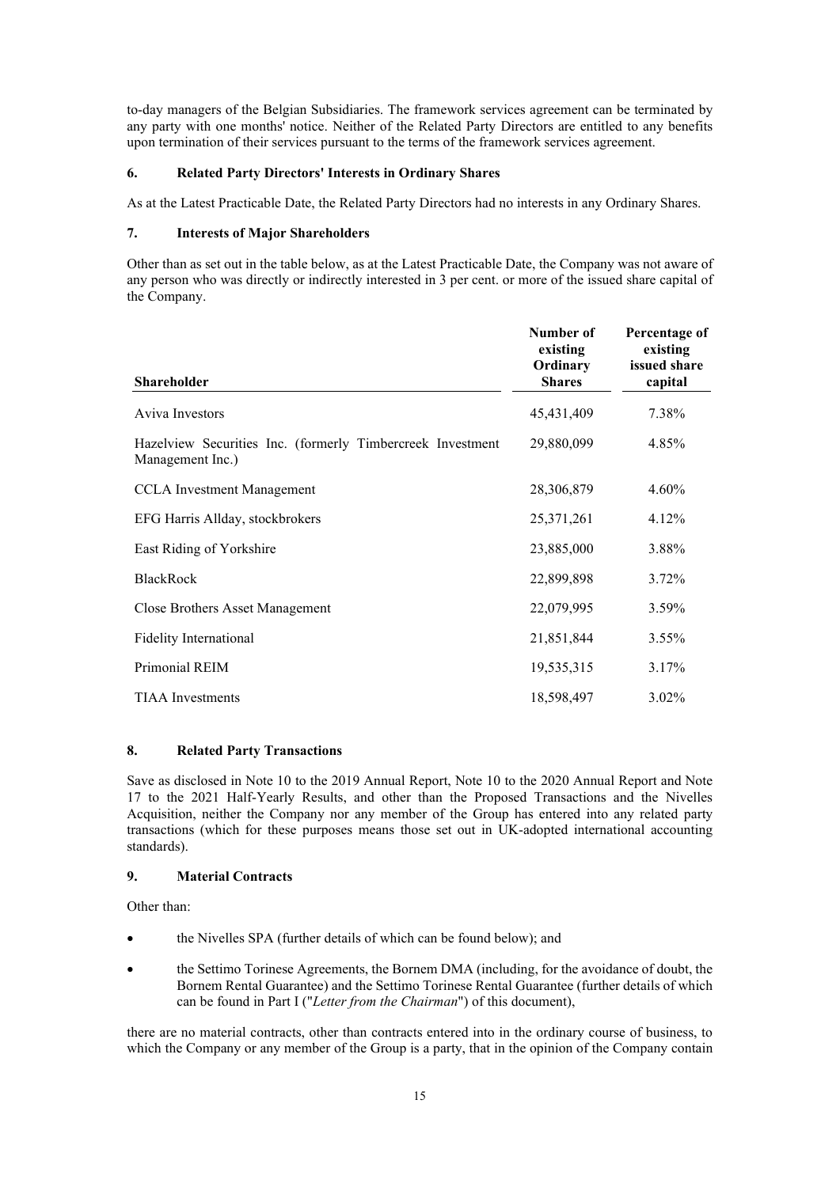to-day managers of the Belgian Subsidiaries. The framework services agreement can be terminated by any party with one months' notice. Neither of the Related Party Directors are entitled to any benefits upon termination of their services pursuant to the terms of the framework services agreement.

## **6. Related Party Directors' Interests in Ordinary Shares**

As at the Latest Practicable Date, the Related Party Directors had no interests in any Ordinary Shares.

## **7. Interests of Major Shareholders**

Other than as set out in the table below, as at the Latest Practicable Date, the Company was not aware of any person who was directly or indirectly interested in 3 per cent. or more of the issued share capital of the Company.

| <b>Shareholder</b>                                                             | Number of<br>existing<br>Ordinary<br><b>Shares</b> | Percentage of<br>existing<br>issued share<br>capital |
|--------------------------------------------------------------------------------|----------------------------------------------------|------------------------------------------------------|
|                                                                                |                                                    |                                                      |
| Aviva Investors                                                                | 45,431,409                                         | 7.38%                                                |
| Hazelview Securities Inc. (formerly Timbercreek Investment<br>Management Inc.) | 29,880,099                                         | 4.85%                                                |
| <b>CCLA</b> Investment Management                                              | 28,306,879                                         | 4.60%                                                |
| EFG Harris Allday, stockbrokers                                                | 25, 371, 261                                       | 4.12%                                                |
| East Riding of Yorkshire                                                       | 23,885,000                                         | 3.88%                                                |
| <b>BlackRock</b>                                                               | 22,899,898                                         | 3.72%                                                |
| Close Brothers Asset Management                                                | 22,079,995                                         | 3.59%                                                |
| Fidelity International                                                         | 21,851,844                                         | $3.55\%$                                             |
| Primonial REIM                                                                 | 19,535,315                                         | 3.17%                                                |
| <b>TIAA</b> Investments                                                        | 18,598,497                                         | $3.02\%$                                             |

## **8. Related Party Transactions**

Save as disclosed in Note 10 to the 2019 Annual Report, Note 10 to the 2020 Annual Report and Note 17 to the 2021 Half-Yearly Results, and other than the Proposed Transactions and the Nivelles Acquisition, neither the Company nor any member of the Group has entered into any related party transactions (which for these purposes means those set out in UK-adopted international accounting standards).

## **9. Material Contracts**

Other than:

- the Nivelles SPA (further details of which can be found below); and
- the Settimo Torinese Agreements, the Bornem DMA (including, for the avoidance of doubt, the Bornem Rental Guarantee) and the Settimo Torinese Rental Guarantee (further details of which can be found in Part I ("*Letter from the Chairman*") of this document),

there are no material contracts, other than contracts entered into in the ordinary course of business, to which the Company or any member of the Group is a party, that in the opinion of the Company contain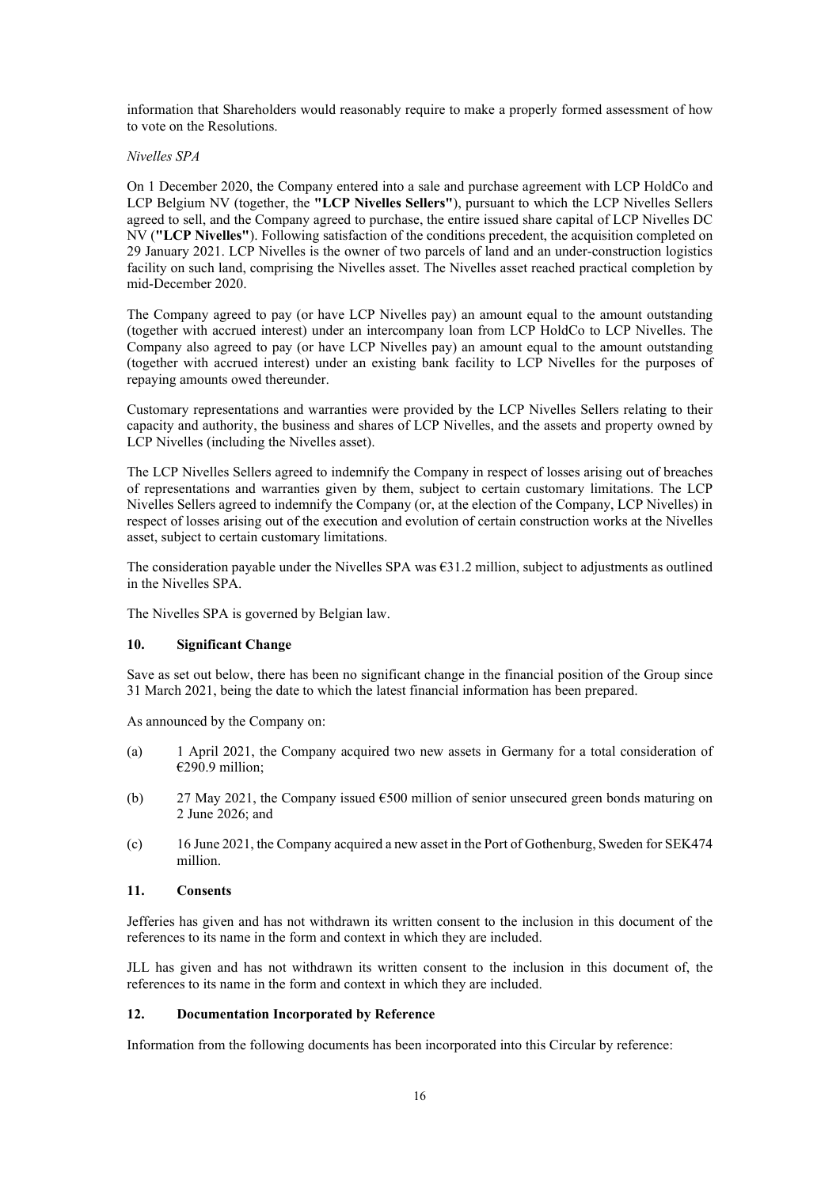information that Shareholders would reasonably require to make a properly formed assessment of how to vote on the Resolutions.

#### *Nivelles SPA*

On 1 December 2020, the Company entered into a sale and purchase agreement with LCP HoldCo and LCP Belgium NV (together, the **"LCP Nivelles Sellers"**), pursuant to which the LCP Nivelles Sellers agreed to sell, and the Company agreed to purchase, the entire issued share capital of LCP Nivelles DC NV (**"LCP Nivelles"**). Following satisfaction of the conditions precedent, the acquisition completed on 29 January 2021. LCP Nivelles is the owner of two parcels of land and an under-construction logistics facility on such land, comprising the Nivelles asset. The Nivelles asset reached practical completion by mid-December 2020.

The Company agreed to pay (or have LCP Nivelles pay) an amount equal to the amount outstanding (together with accrued interest) under an intercompany loan from LCP HoldCo to LCP Nivelles. The Company also agreed to pay (or have LCP Nivelles pay) an amount equal to the amount outstanding (together with accrued interest) under an existing bank facility to LCP Nivelles for the purposes of repaying amounts owed thereunder.

Customary representations and warranties were provided by the LCP Nivelles Sellers relating to their capacity and authority, the business and shares of LCP Nivelles, and the assets and property owned by LCP Nivelles (including the Nivelles asset).

The LCP Nivelles Sellers agreed to indemnify the Company in respect of losses arising out of breaches of representations and warranties given by them, subject to certain customary limitations. The LCP Nivelles Sellers agreed to indemnify the Company (or, at the election of the Company, LCP Nivelles) in respect of losses arising out of the execution and evolution of certain construction works at the Nivelles asset, subject to certain customary limitations.

The consideration payable under the Nivelles SPA was €31.2 million, subject to adjustments as outlined in the Nivelles SPA.

The Nivelles SPA is governed by Belgian law.

#### **10. Significant Change**

Save as set out below, there has been no significant change in the financial position of the Group since 31 March 2021, being the date to which the latest financial information has been prepared.

As announced by the Company on:

- (a) 1 April 2021, the Company acquired two new assets in Germany for a total consideration of €290.9 million;
- (b) 27 May 2021, the Company issued €500 million of senior unsecured green bonds maturing on 2 June 2026; and
- (c) 16 June 2021, the Company acquired a new asset in the Port of Gothenburg, Sweden for SEK474 million.

## **11. Consents**

Jefferies has given and has not withdrawn its written consent to the inclusion in this document of the references to its name in the form and context in which they are included.

JLL has given and has not withdrawn its written consent to the inclusion in this document of, the references to its name in the form and context in which they are included.

## **12. Documentation Incorporated by Reference**

Information from the following documents has been incorporated into this Circular by reference: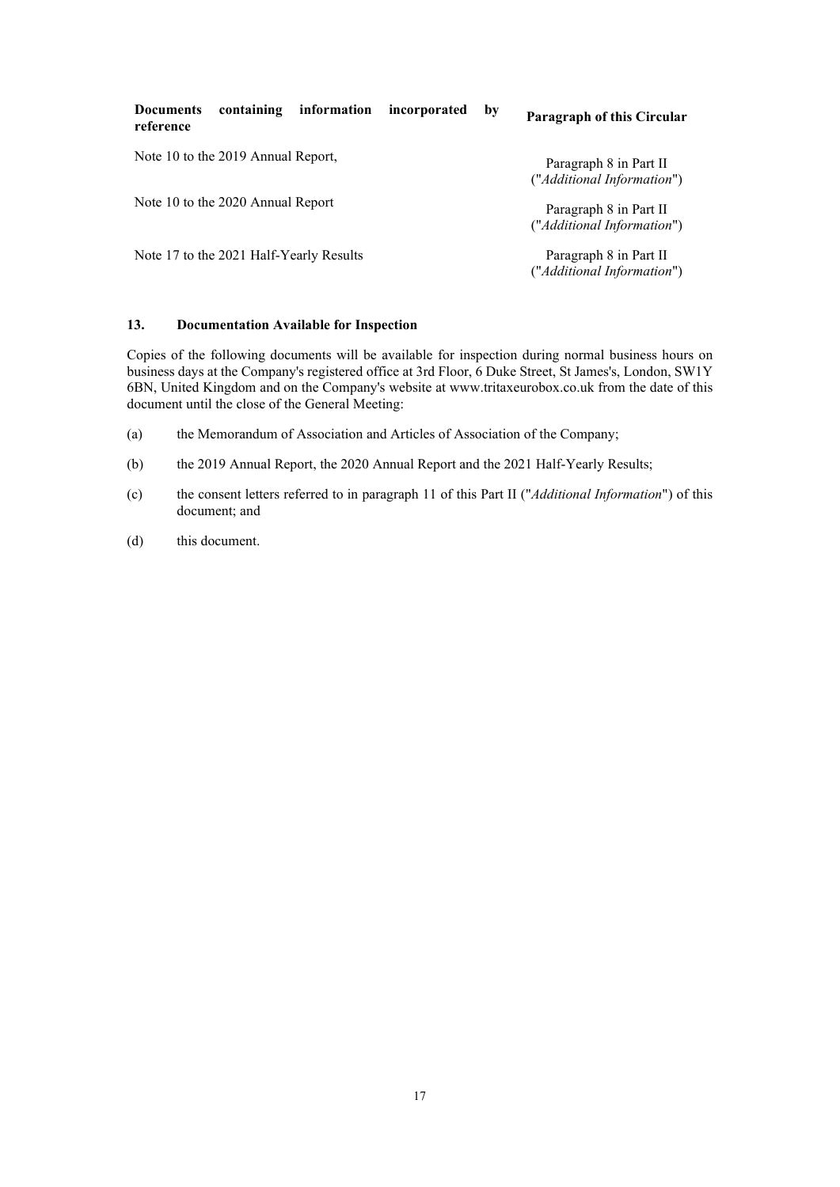| <b>Documents</b><br>reference | containing                              | information | incorporated | by | Paragraph of this Circular                           |
|-------------------------------|-----------------------------------------|-------------|--------------|----|------------------------------------------------------|
|                               | Note 10 to the 2019 Annual Report,      |             |              |    | Paragraph 8 in Part II<br>("Additional Information") |
|                               | Note 10 to the 2020 Annual Report       |             |              |    | Paragraph 8 in Part II<br>("Additional Information") |
|                               | Note 17 to the 2021 Half-Yearly Results |             |              |    | Paragraph 8 in Part II<br>("Additional Information") |

## **13. Documentation Available for Inspection**

Copies of the following documents will be available for inspection during normal business hours on business days at the Company's registered office at 3rd Floor, 6 Duke Street, St James's, London, SW1Y 6BN, United Kingdom and on the Company's website at www.tritaxeurobox.co.uk from the date of this document until the close of the General Meeting:

- (a) the Memorandum of Association and Articles of Association of the Company;
- (b) the 2019 Annual Report, the 2020 Annual Report and the 2021 Half-Yearly Results;
- (c) the consent letters referred to in paragraph 11 of this Part II ("*Additional Information*") of this document; and
- (d) this document.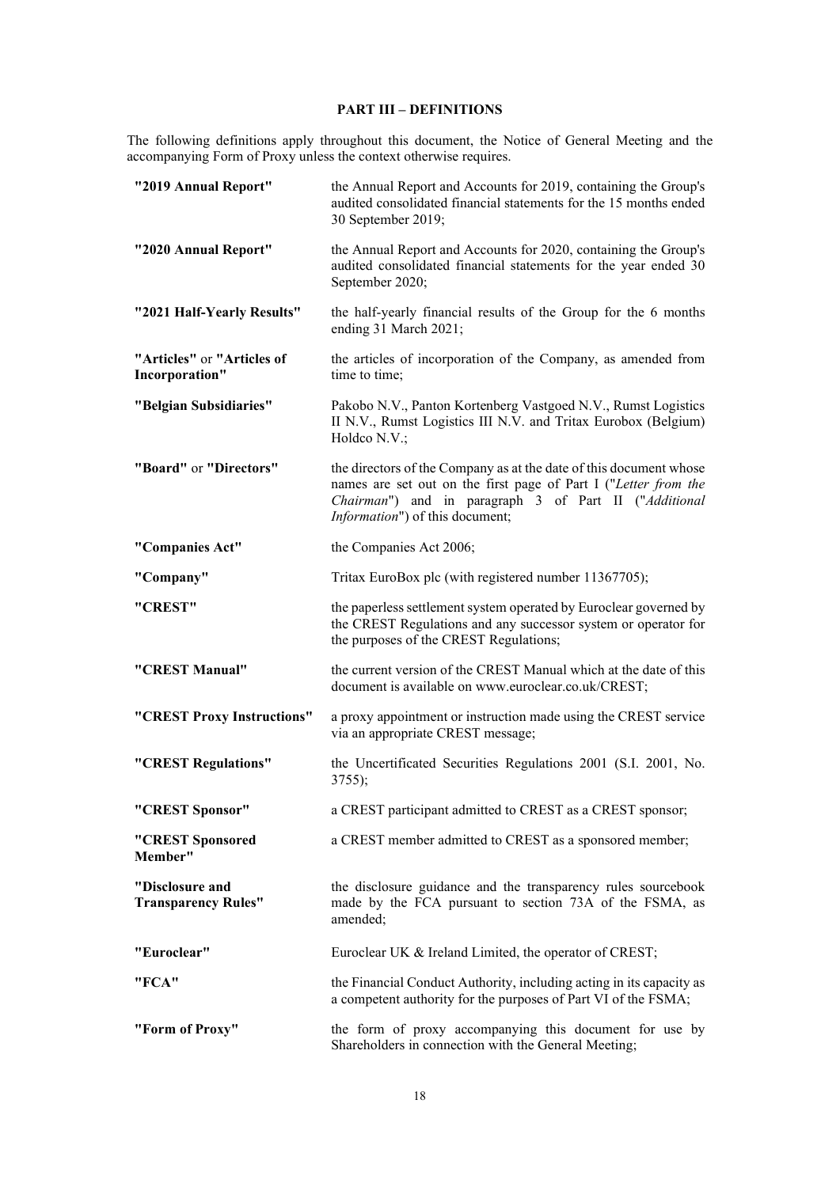## **PART III – DEFINITIONS**

The following definitions apply throughout this document, the Notice of General Meeting and the accompanying Form of Proxy unless the context otherwise requires.

| "2019 Annual Report"                          | the Annual Report and Accounts for 2019, containing the Group's<br>audited consolidated financial statements for the 15 months ended<br>30 September 2019;                                                                        |  |
|-----------------------------------------------|-----------------------------------------------------------------------------------------------------------------------------------------------------------------------------------------------------------------------------------|--|
| "2020 Annual Report"                          | the Annual Report and Accounts for 2020, containing the Group's<br>audited consolidated financial statements for the year ended 30<br>September 2020;                                                                             |  |
| "2021 Half-Yearly Results"                    | the half-yearly financial results of the Group for the 6 months<br>ending 31 March 2021;                                                                                                                                          |  |
| "Articles" or "Articles of<br>Incorporation"  | the articles of incorporation of the Company, as amended from<br>time to time;                                                                                                                                                    |  |
| "Belgian Subsidiaries"                        | Pakobo N.V., Panton Kortenberg Vastgoed N.V., Rumst Logistics<br>II N.V., Rumst Logistics III N.V. and Tritax Eurobox (Belgium)<br>Holdco N.V.;                                                                                   |  |
| "Board" or "Directors"                        | the directors of the Company as at the date of this document whose<br>names are set out on the first page of Part I ("Letter from the<br>Chairman") and in paragraph 3 of Part II ("Additional<br>Information") of this document; |  |
| "Companies Act"                               | the Companies Act 2006;                                                                                                                                                                                                           |  |
| "Company"                                     | Tritax EuroBox plc (with registered number 11367705);                                                                                                                                                                             |  |
| "CREST"                                       | the paperless settlement system operated by Euroclear governed by<br>the CREST Regulations and any successor system or operator for<br>the purposes of the CREST Regulations;                                                     |  |
| "CREST Manual"                                | the current version of the CREST Manual which at the date of this<br>document is available on www.euroclear.co.uk/CREST;                                                                                                          |  |
| "CREST Proxy Instructions"                    | a proxy appointment or instruction made using the CREST service<br>via an appropriate CREST message;                                                                                                                              |  |
| "CREST Regulations"                           | the Uncertificated Securities Regulations 2001 (S.I. 2001, No.<br>$3755$ ;                                                                                                                                                        |  |
| "CREST Sponsor"                               | a CREST participant admitted to CREST as a CREST sponsor;                                                                                                                                                                         |  |
| "CREST Sponsored<br>Member"                   | a CREST member admitted to CREST as a sponsored member;                                                                                                                                                                           |  |
| "Disclosure and<br><b>Transparency Rules"</b> | the disclosure guidance and the transparency rules sourcebook<br>made by the FCA pursuant to section 73A of the FSMA, as<br>amended;                                                                                              |  |
| "Euroclear"                                   | Euroclear UK & Ireland Limited, the operator of CREST;                                                                                                                                                                            |  |
| "FCA"                                         | the Financial Conduct Authority, including acting in its capacity as<br>a competent authority for the purposes of Part VI of the FSMA;                                                                                            |  |
| "Form of Proxy"                               | the form of proxy accompanying this document for use by<br>Shareholders in connection with the General Meeting;                                                                                                                   |  |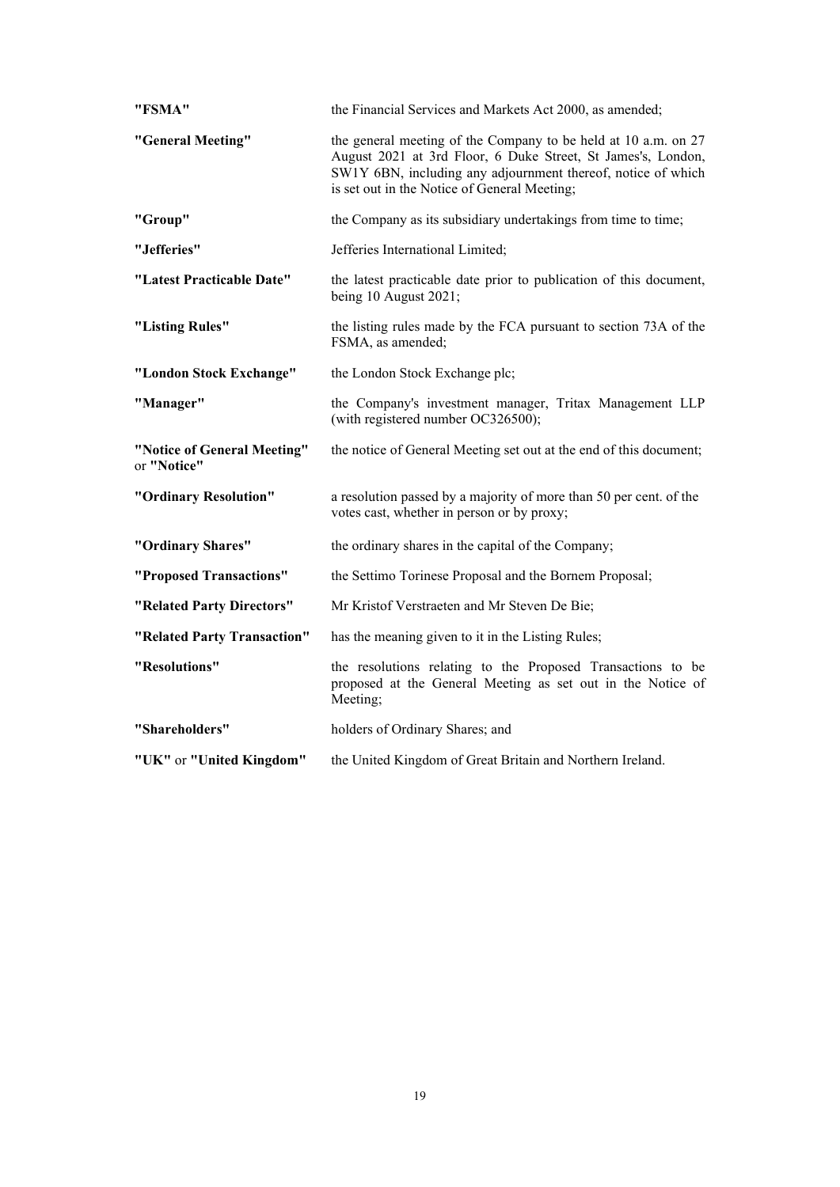| "FSMA"                                     | the Financial Services and Markets Act 2000, as amended;                                                                                                                                                                                       |  |
|--------------------------------------------|------------------------------------------------------------------------------------------------------------------------------------------------------------------------------------------------------------------------------------------------|--|
| "General Meeting"                          | the general meeting of the Company to be held at 10 a.m. on 27<br>August 2021 at 3rd Floor, 6 Duke Street, St James's, London,<br>SW1Y 6BN, including any adjournment thereof, notice of which<br>is set out in the Notice of General Meeting; |  |
| "Group"                                    | the Company as its subsidiary undertakings from time to time;                                                                                                                                                                                  |  |
| "Jefferies"                                | Jefferies International Limited;                                                                                                                                                                                                               |  |
| "Latest Practicable Date"                  | the latest practicable date prior to publication of this document,<br>being 10 August 2021;                                                                                                                                                    |  |
| "Listing Rules"                            | the listing rules made by the FCA pursuant to section 73A of the<br>FSMA, as amended;                                                                                                                                                          |  |
| "London Stock Exchange"                    | the London Stock Exchange plc;                                                                                                                                                                                                                 |  |
| "Manager"                                  | the Company's investment manager, Tritax Management LLP<br>(with registered number OC326500);                                                                                                                                                  |  |
| "Notice of General Meeting"<br>or "Notice" | the notice of General Meeting set out at the end of this document;                                                                                                                                                                             |  |
| "Ordinary Resolution"                      | a resolution passed by a majority of more than 50 per cent. of the<br>votes cast, whether in person or by proxy;                                                                                                                               |  |
| "Ordinary Shares"                          | the ordinary shares in the capital of the Company;                                                                                                                                                                                             |  |
| "Proposed Transactions"                    | the Settimo Torinese Proposal and the Bornem Proposal;                                                                                                                                                                                         |  |
| "Related Party Directors"                  | Mr Kristof Verstraeten and Mr Steven De Bie;                                                                                                                                                                                                   |  |
| "Related Party Transaction"                | has the meaning given to it in the Listing Rules;                                                                                                                                                                                              |  |
| "Resolutions"                              | the resolutions relating to the Proposed Transactions to be<br>proposed at the General Meeting as set out in the Notice of<br>Meeting;                                                                                                         |  |
| "Shareholders"                             | holders of Ordinary Shares; and                                                                                                                                                                                                                |  |
| "UK" or "United Kingdom"                   | the United Kingdom of Great Britain and Northern Ireland.                                                                                                                                                                                      |  |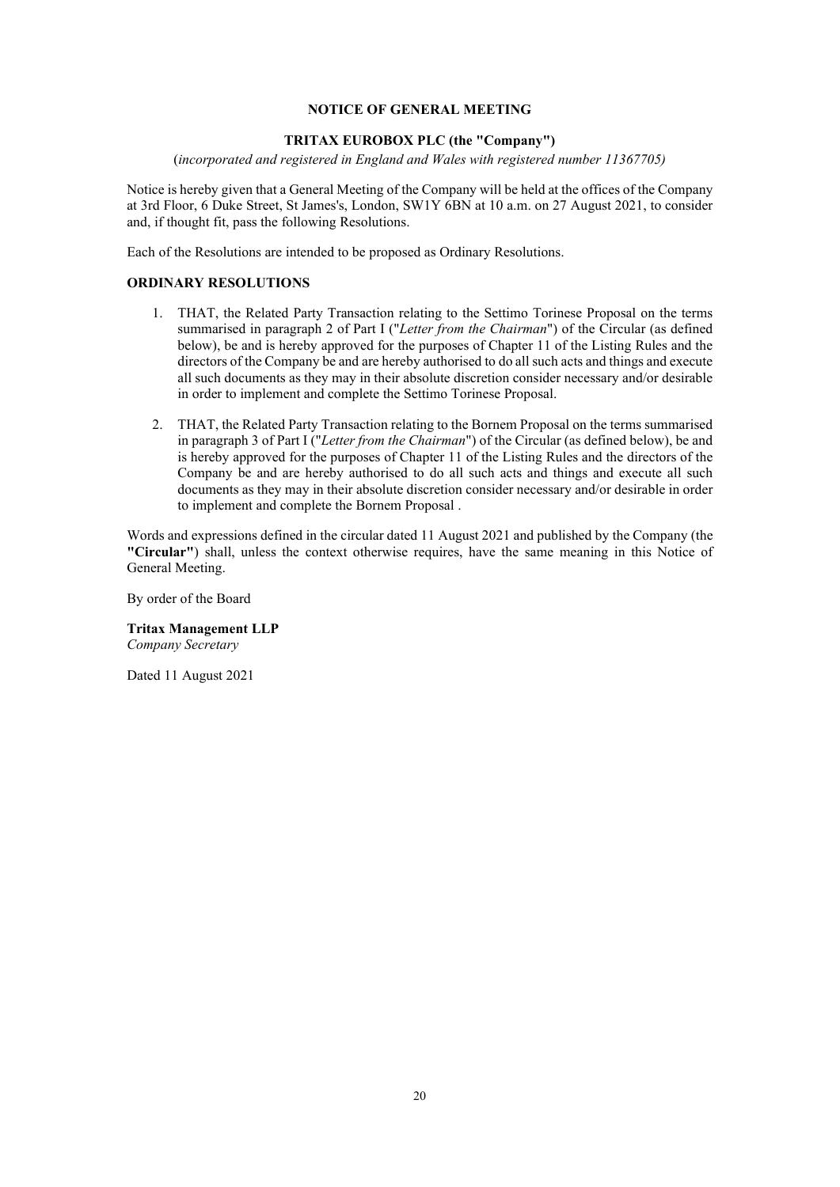## **NOTICE OF GENERAL MEETING**

## **TRITAX EUROBOX PLC (the "Company")**

(*incorporated and registered in England and Wales with registered number 11367705)* 

Notice is hereby given that a General Meeting of the Company will be held at the offices of the Company at 3rd Floor, 6 Duke Street, St James's, London, SW1Y 6BN at 10 a.m. on 27 August 2021, to consider and, if thought fit, pass the following Resolutions.

Each of the Resolutions are intended to be proposed as Ordinary Resolutions.

## **ORDINARY RESOLUTIONS**

- 1. THAT, the Related Party Transaction relating to the Settimo Torinese Proposal on the terms summarised in paragraph 2 of Part I ("*Letter from the Chairman*") of the Circular (as defined below), be and is hereby approved for the purposes of Chapter 11 of the Listing Rules and the directors of the Company be and are hereby authorised to do all such acts and things and execute all such documents as they may in their absolute discretion consider necessary and/or desirable in order to implement and complete the Settimo Torinese Proposal.
- 2. THAT, the Related Party Transaction relating to the Bornem Proposal on the terms summarised in paragraph 3 of Part I ("*Letter from the Chairman*") of the Circular (as defined below), be and is hereby approved for the purposes of Chapter 11 of the Listing Rules and the directors of the Company be and are hereby authorised to do all such acts and things and execute all such documents as they may in their absolute discretion consider necessary and/or desirable in order to implement and complete the Bornem Proposal .

Words and expressions defined in the circular dated 11 August 2021 and published by the Company (the **"Circular"**) shall, unless the context otherwise requires, have the same meaning in this Notice of General Meeting.

By order of the Board

**Tritax Management LLP** *Company Secretary*

Dated 11 August 2021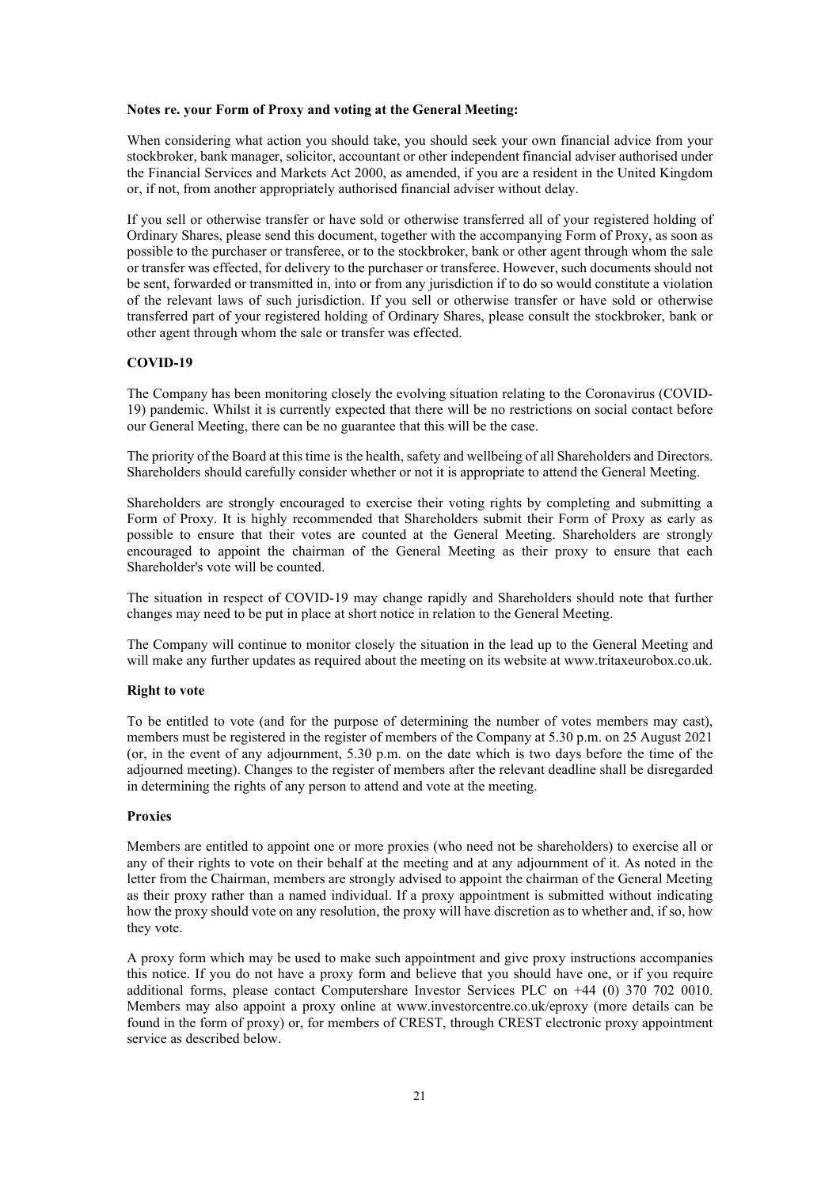#### **Notes re. your Form of Proxy and voting at the General Meeting:**

When considering what action you should take, you should seek your own financial advice from your stockbroker, bank manager, solicitor, accountant or other independent financial adviser authorised under the Financial Services and Markets Act 2000, as amended, if you are a resident in the United Kingdom or, if not, from another appropriately authorised financial adviser without delay.

If you sell or otherwise transfer or have sold or otherwise transferred all of your registered holding of Ordinary Shares, please send this document, together with the accompanying Form of Proxy, as soon as possible to the purchaser or transferee, or to the stockbroker, bank or other agent through whom the sale or transfer was effected, for delivery to the purchaser or transferee. However, such documents should not be sent, forwarded or transmitted in, into or from any jurisdiction if to do so would constitute a violation of the relevant laws of such jurisdiction. If you sell or otherwise transfer or have sold or otherwise transferred part of your registered holding of Ordinary Shares, please consult the stockbroker, bank or other agent through whom the sale or transfer was effected.

#### **COVID-19**

The Company has been monitoring closely the evolving situation relating to the Coronavirus (COVID-19) pandemic. Whilst it is currently expected that there will be no restrictions on social contact before our General Meeting, there can be no guarantee that this will be the case.

The priority of the Board at this time is the health, safety and wellbeing of all Shareholders and Directors. Shareholders should carefully consider whether or not it is appropriate to attend the General Meeting.

Shareholders are strongly encouraged to exercise their voting rights by completing and submitting a Form of Proxy. It is highly recommended that Shareholders submit their Form of Proxy as early as possible to ensure that their votes are counted at the General Meeting. Shareholders are strongly encouraged to appoint the chairman of the General Meeting as their proxy to ensure that each Shareholder's vote will be counted.

The situation in respect of COVID-19 may change rapidly and Shareholders should note that further changes may need to be put in place at short notice in relation to the General Meeting.

The Company will continue to monitor closely the situation in the lead up to the General Meeting and will make any further updates as required about the meeting on its website at www.tritaxeurobox.co.uk.

#### **Right to vote**

To be entitled to vote (and for the purpose of determining the number of votes members may cast), members must be registered in the register of members of the Company at 5.30 p.m. on 25 August 2021 (or, in the event of any adjournment, 5.30 p.m. on the date which is two days before the time of the adjourned meeting). Changes to the register of members after the relevant deadline shall be disregarded in determining the rights of any person to attend and vote at the meeting.

#### **Proxies**

Members are entitled to appoint one or more proxies (who need not be shareholders) to exercise all or any of their rights to vote on their behalf at the meeting and at any adjournment of it. As noted in the letter from the Chairman, members are strongly advised to appoint the chairman of the General Meeting as their proxy rather than a named individual. If a proxy appointment is submitted without indicating how the proxy should vote on any resolution, the proxy will have discretion as to whether and, if so, how they vote.

A proxy form which may be used to make such appointment and give proxy instructions accompanies this notice. If you do not have a proxy form and believe that you should have one, or if you require additional forms, please contact Computershare Investor Services PLC on +44 (0) 370 702 0010. Members may also appoint a proxy online at www.investorcentre.co.uk/eproxy (more details can be found in the form of proxy) or, for members of CREST, through CREST electronic proxy appointment service as described below.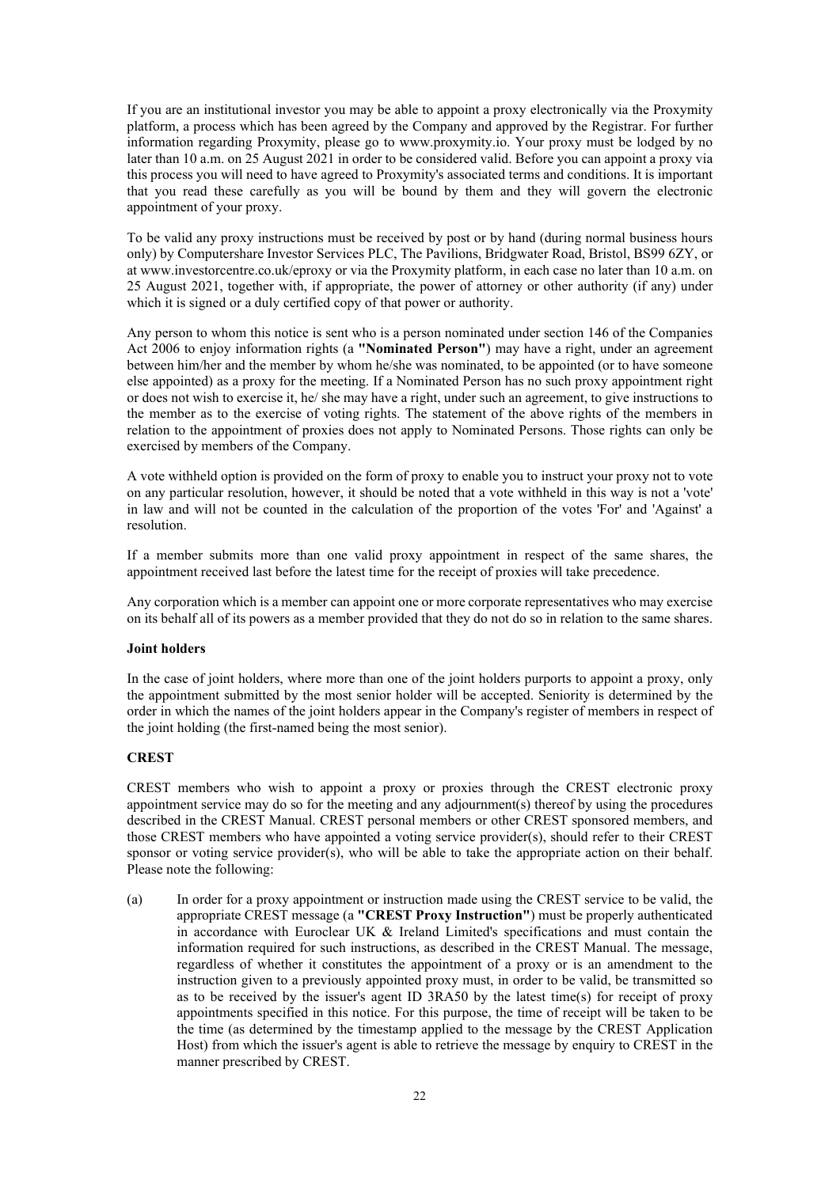If you are an institutional investor you may be able to appoint a proxy electronically via the Proxymity platform, a process which has been agreed by the Company and approved by the Registrar. For further information regarding Proxymity, please go to www.proxymity.io. Your proxy must be lodged by no later than 10 a.m. on 25 August 2021 in order to be considered valid. Before you can appoint a proxy via this process you will need to have agreed to Proxymity's associated terms and conditions. It is important that you read these carefully as you will be bound by them and they will govern the electronic appointment of your proxy.

To be valid any proxy instructions must be received by post or by hand (during normal business hours only) by Computershare Investor Services PLC, The Pavilions, Bridgwater Road, Bristol, BS99 6ZY, or at www.investorcentre.co.uk/eproxy or via the Proxymity platform, in each case no later than 10 a.m. on 25 August 2021, together with, if appropriate, the power of attorney or other authority (if any) under which it is signed or a duly certified copy of that power or authority.

Any person to whom this notice is sent who is a person nominated under section 146 of the Companies Act 2006 to enjoy information rights (a **"Nominated Person"**) may have a right, under an agreement between him/her and the member by whom he/she was nominated, to be appointed (or to have someone else appointed) as a proxy for the meeting. If a Nominated Person has no such proxy appointment right or does not wish to exercise it, he/ she may have a right, under such an agreement, to give instructions to the member as to the exercise of voting rights. The statement of the above rights of the members in relation to the appointment of proxies does not apply to Nominated Persons. Those rights can only be exercised by members of the Company.

A vote withheld option is provided on the form of proxy to enable you to instruct your proxy not to vote on any particular resolution, however, it should be noted that a vote withheld in this way is not a 'vote' in law and will not be counted in the calculation of the proportion of the votes 'For' and 'Against' a resolution.

If a member submits more than one valid proxy appointment in respect of the same shares, the appointment received last before the latest time for the receipt of proxies will take precedence.

Any corporation which is a member can appoint one or more corporate representatives who may exercise on its behalf all of its powers as a member provided that they do not do so in relation to the same shares.

#### **Joint holders**

In the case of joint holders, where more than one of the joint holders purports to appoint a proxy, only the appointment submitted by the most senior holder will be accepted. Seniority is determined by the order in which the names of the joint holders appear in the Company's register of members in respect of the joint holding (the first-named being the most senior).

## **CREST**

CREST members who wish to appoint a proxy or proxies through the CREST electronic proxy appointment service may do so for the meeting and any adjournment(s) thereof by using the procedures described in the CREST Manual. CREST personal members or other CREST sponsored members, and those CREST members who have appointed a voting service provider(s), should refer to their CREST sponsor or voting service provider(s), who will be able to take the appropriate action on their behalf. Please note the following:

(a) In order for a proxy appointment or instruction made using the CREST service to be valid, the appropriate CREST message (a **"CREST Proxy Instruction"**) must be properly authenticated in accordance with Euroclear UK & Ireland Limited's specifications and must contain the information required for such instructions, as described in the CREST Manual. The message, regardless of whether it constitutes the appointment of a proxy or is an amendment to the instruction given to a previously appointed proxy must, in order to be valid, be transmitted so as to be received by the issuer's agent ID 3RA50 by the latest time(s) for receipt of proxy appointments specified in this notice. For this purpose, the time of receipt will be taken to be the time (as determined by the timestamp applied to the message by the CREST Application Host) from which the issuer's agent is able to retrieve the message by enquiry to CREST in the manner prescribed by CREST.